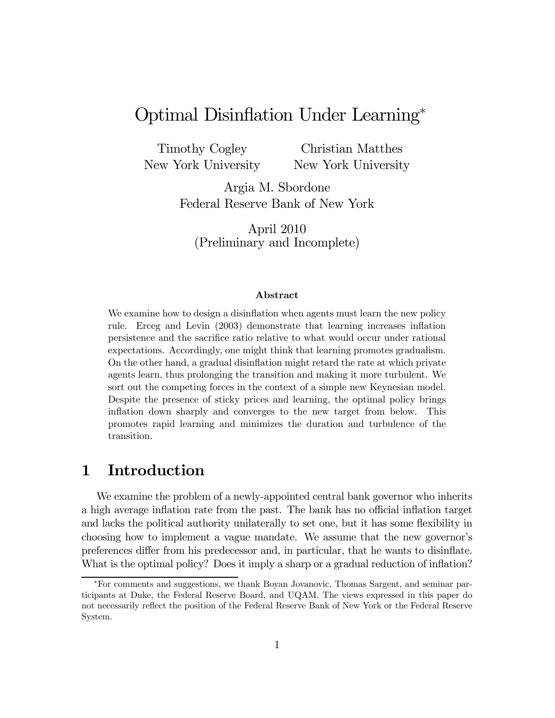# Optimal Disinflation Under Learning<sup>∗</sup>

Timothy Cogley New York University

Christian Matthes New York University

Argia M. Sbordone Federal Reserve Bank of New York

April 2010 (Preliminary and Incomplete)

### Abstract

We examine how to design a disinflation when agents must learn the new policy rule. Erceg and Levin (2003) demonstrate that learning increases inflation persistence and the sacrifice ratio relative to what would occur under rational expectations. Accordingly, one might think that learning promotes gradualism. On the other hand, a gradual disinflation might retard the rate at which private agents learn, thus prolonging the transition and making it more turbulent. We sort out the competing forces in the context of a simple new Keynesian model. Despite the presence of sticky prices and learning, the optimal policy brings inflation down sharply and converges to the new target from below. This promotes rapid learning and minimizes the duration and turbulence of the transition.

## 1 Introduction

We examine the problem of a newly-appointed central bank governor who inherits a high average inflation rate from the past. The bank has no official inflation target and lacks the political authority unilaterally to set one, but it has some flexibility in choosing how to implement a vague mandate. We assume that the new governor's preferences differ from his predecessor and, in particular, that he wants to disinflate. What is the optimal policy? Does it imply a sharp or a gradual reduction of inflation?

<sup>∗</sup>For comments and suggestions, we thank Boyan Jovanovic, Thomas Sargent, and seminar participants at Duke, the Federal Reserve Board, and UQAM. The views expressed in this paper do not necessarily reflect the position of the Federal Reserve Bank of New York or the Federal Reserve System.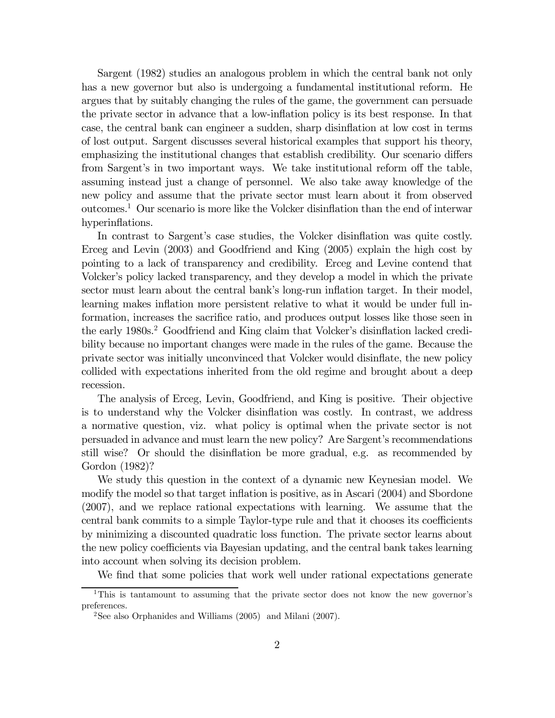Sargent (1982) studies an analogous problem in which the central bank not only has a new governor but also is undergoing a fundamental institutional reform. He argues that by suitably changing the rules of the game, the government can persuade the private sector in advance that a low-inflation policy is its best response. In that case, the central bank can engineer a sudden, sharp disinflation at low cost in terms of lost output. Sargent discusses several historical examples that support his theory, emphasizing the institutional changes that establish credibility. Our scenario differs from Sargent's in two important ways. We take institutional reform off the table, assuming instead just a change of personnel. We also take away knowledge of the new policy and assume that the private sector must learn about it from observed outcomes.1 Our scenario is more like the Volcker disinflation than the end of interwar hyperinflations.

In contrast to Sargent's case studies, the Volcker disinflation was quite costly. Erceg and Levin (2003) and Goodfriend and King (2005) explain the high cost by pointing to a lack of transparency and credibility. Erceg and Levine contend that Volcker's policy lacked transparency, and they develop a model in which the private sector must learn about the central bank's long-run inflation target. In their model, learning makes inflation more persistent relative to what it would be under full information, increases the sacrifice ratio, and produces output losses like those seen in the early 1980s.<sup>2</sup> Goodfriend and King claim that Volcker's disinflation lacked credibility because no important changes were made in the rules of the game. Because the private sector was initially unconvinced that Volcker would disinflate, the new policy collided with expectations inherited from the old regime and brought about a deep recession.

The analysis of Erceg, Levin, Goodfriend, and King is positive. Their objective is to understand why the Volcker disinflation was costly. In contrast, we address a normative question, viz. what policy is optimal when the private sector is not persuaded in advance and must learn the new policy? Are Sargent's recommendations still wise? Or should the disinflation be more gradual, e.g. as recommended by Gordon (1982)?

We study this question in the context of a dynamic new Keynesian model. We modify the model so that target inflation is positive, as in Ascari (2004) and Sbordone (2007), and we replace rational expectations with learning. We assume that the central bank commits to a simple Taylor-type rule and that it chooses its coefficients by minimizing a discounted quadratic loss function. The private sector learns about the new policy coefficients via Bayesian updating, and the central bank takes learning into account when solving its decision problem.

We find that some policies that work well under rational expectations generate

<sup>&</sup>lt;sup>1</sup>This is tantamount to assuming that the private sector does not know the new governor's preferences.

<sup>&</sup>lt;sup>2</sup>See also Orphanides and Williams  $(2005)$  and Milani  $(2007)$ .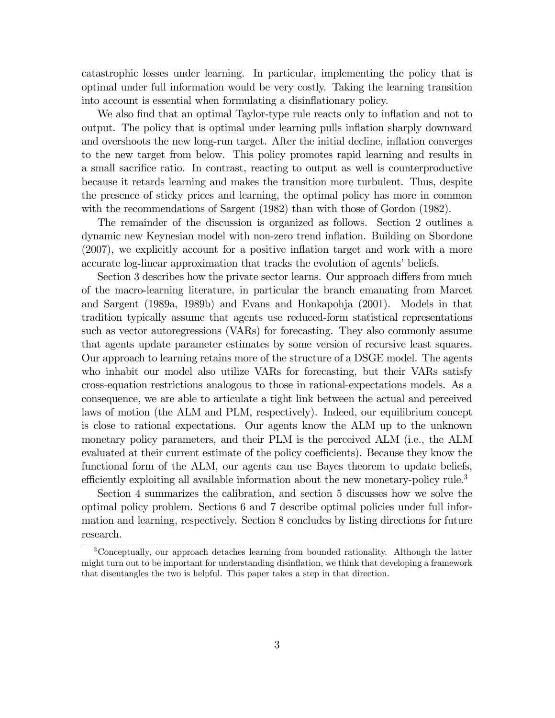catastrophic losses under learning. In particular, implementing the policy that is optimal under full information would be very costly. Taking the learning transition into account is essential when formulating a disinflationary policy.

We also find that an optimal Taylor-type rule reacts only to inflation and not to output. The policy that is optimal under learning pulls inflation sharply downward and overshoots the new long-run target. After the initial decline, inflation converges to the new target from below. This policy promotes rapid learning and results in a small sacrifice ratio. In contrast, reacting to output as well is counterproductive because it retards learning and makes the transition more turbulent. Thus, despite the presence of sticky prices and learning, the optimal policy has more in common with the recommendations of Sargent (1982) than with those of Gordon (1982).

The remainder of the discussion is organized as follows. Section 2 outlines a dynamic new Keynesian model with non-zero trend inflation. Building on Sbordone (2007), we explicitly account for a positive inflation target and work with a more accurate log-linear approximation that tracks the evolution of agents' beliefs.

Section 3 describes how the private sector learns. Our approach differs from much of the macro-learning literature, in particular the branch emanating from Marcet and Sargent (1989a, 1989b) and Evans and Honkapohja (2001). Models in that tradition typically assume that agents use reduced-form statistical representations such as vector autoregressions (VARs) for forecasting. They also commonly assume that agents update parameter estimates by some version of recursive least squares. Our approach to learning retains more of the structure of a DSGE model. The agents who inhabit our model also utilize VARs for forecasting, but their VARs satisfy cross-equation restrictions analogous to those in rational-expectations models. As a consequence, we are able to articulate a tight link between the actual and perceived laws of motion (the ALM and PLM, respectively). Indeed, our equilibrium concept is close to rational expectations. Our agents know the ALM up to the unknown monetary policy parameters, and their PLM is the perceived ALM (i.e., the ALM evaluated at their current estimate of the policy coefficients). Because they know the functional form of the ALM, our agents can use Bayes theorem to update beliefs, efficiently exploiting all available information about the new monetary-policy rule.<sup>3</sup>

Section 4 summarizes the calibration, and section 5 discusses how we solve the optimal policy problem. Sections 6 and 7 describe optimal policies under full information and learning, respectively. Section 8 concludes by listing directions for future research.

<sup>3</sup>Conceptually, our approach detaches learning from bounded rationality. Although the latter might turn out to be important for understanding disinflation, we think that developing a framework that disentangles the two is helpful. This paper takes a step in that direction.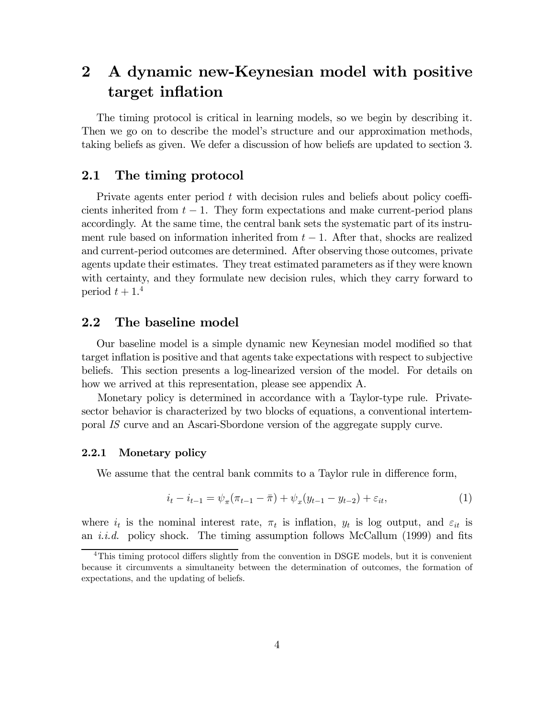# 2 A dynamic new-Keynesian model with positive target inflation

The timing protocol is critical in learning models, so we begin by describing it. Then we go on to describe the model's structure and our approximation methods, taking beliefs as given. We defer a discussion of how beliefs are updated to section 3.

### 2.1 The timing protocol

Private agents enter period t with decision rules and beliefs about policy coefficients inherited from  $t - 1$ . They form expectations and make current-period plans accordingly. At the same time, the central bank sets the systematic part of its instrument rule based on information inherited from  $t - 1$ . After that, shocks are realized and current-period outcomes are determined. After observing those outcomes, private agents update their estimates. They treat estimated parameters as if they were known with certainty, and they formulate new decision rules, which they carry forward to period  $t + 1$ <sup>4</sup>

### 2.2 The baseline model

Our baseline model is a simple dynamic new Keynesian model modified so that target inflation is positive and that agents take expectations with respect to subjective beliefs. This section presents a log-linearized version of the model. For details on how we arrived at this representation, please see appendix A.

Monetary policy is determined in accordance with a Taylor-type rule. Privatesector behavior is characterized by two blocks of equations, a conventional intertemporal IS curve and an Ascari-Sbordone version of the aggregate supply curve.

### 2.2.1 Monetary policy

We assume that the central bank commits to a Taylor rule in difference form,

$$
i_t - i_{t-1} = \psi_\pi(\pi_{t-1} - \bar{\pi}) + \psi_x(y_{t-1} - y_{t-2}) + \varepsilon_{it},\tag{1}
$$

where  $i_t$  is the nominal interest rate,  $\pi_t$  is inflation,  $y_t$  is log output, and  $\varepsilon_{it}$  is an *i.i.d.* policy shock. The timing assumption follows McCallum  $(1999)$  and fits

<sup>&</sup>lt;sup>4</sup>This timing protocol differs slightly from the convention in DSGE models, but it is convenient because it circumvents a simultaneity between the determination of outcomes, the formation of expectations, and the updating of beliefs.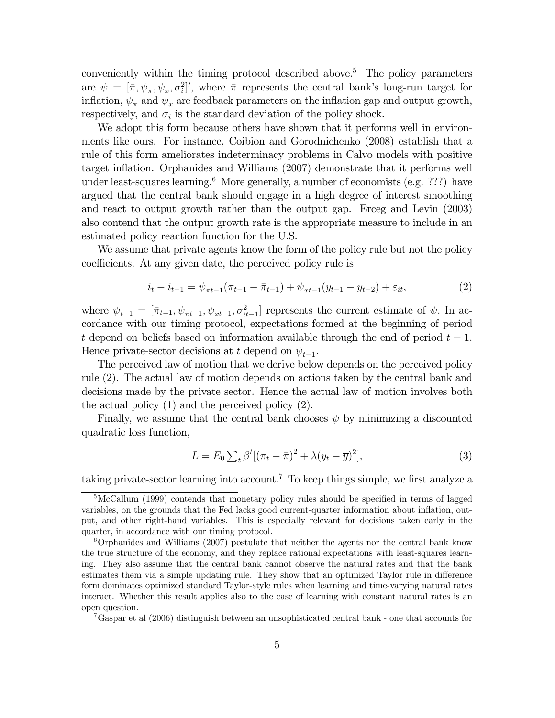conveniently within the timing protocol described above.<sup>5</sup> The policy parameters are  $\psi = [\bar{\pi}, \psi_{\pi}, \psi_x, \sigma_i^2]'$ , where  $\bar{\pi}$  represents the central bank's long-run target for inflation,  $\psi_{\pi}$  and  $\psi_{x}$  are feedback parameters on the inflation gap and output growth, respectively, and  $\sigma_i$  is the standard deviation of the policy shock.

We adopt this form because others have shown that it performs well in environments like ours. For instance, Coibion and Gorodnichenko (2008) establish that a rule of this form ameliorates indeterminacy problems in Calvo models with positive target inflation. Orphanides and Williams (2007) demonstrate that it performs well under least-squares learning.<sup>6</sup> More generally, a number of economists (e.g. ???) have argued that the central bank should engage in a high degree of interest smoothing and react to output growth rather than the output gap. Erceg and Levin (2003) also contend that the output growth rate is the appropriate measure to include in an estimated policy reaction function for the U.S.

We assume that private agents know the form of the policy rule but not the policy coefficients. At any given date, the perceived policy rule is

$$
i_t - i_{t-1} = \psi_{\pi t - 1}(\pi_{t-1} - \bar{\pi}_{t-1}) + \psi_{xt-1}(y_{t-1} - y_{t-2}) + \varepsilon_{it},
$$
\n(2)

where  $\psi_{t-1} = [\bar{\pi}_{t-1}, \psi_{\pi t-1}, \psi_{xt-1}, \sigma_{it-1}^2]$  represents the current estimate of  $\psi$ . In accordance with our timing protocol, expectations formed at the beginning of period t depend on beliefs based on information available through the end of period  $t-1$ . Hence private-sector decisions at t depend on  $\psi_{t-1}$ .

The perceived law of motion that we derive below depends on the perceived policy rule (2). The actual law of motion depends on actions taken by the central bank and decisions made by the private sector. Hence the actual law of motion involves both the actual policy (1) and the perceived policy (2).

Finally, we assume that the central bank chooses  $\psi$  by minimizing a discounted quadratic loss function,

$$
L = E_0 \sum_t \beta^t [(\pi_t - \overline{\pi})^2 + \lambda (y_t - \overline{y})^2], \tag{3}
$$

taking private-sector learning into account.<sup>7</sup> To keep things simple, we first analyze a

7Gaspar et al (2006) distinguish between an unsophisticated central bank - one that accounts for

<sup>5</sup>McCallum (1999) contends that monetary policy rules should be specified in terms of lagged variables, on the grounds that the Fed lacks good current-quarter information about inflation, output, and other right-hand variables. This is especially relevant for decisions taken early in the quarter, in accordance with our timing protocol.

<sup>6</sup>Orphanides and Williams (2007) postulate that neither the agents nor the central bank know the true structure of the economy, and they replace rational expectations with least-squares learning. They also assume that the central bank cannot observe the natural rates and that the bank estimates them via a simple updating rule. They show that an optimized Taylor rule in difference form dominates optimized standard Taylor-style rules when learning and time-varying natural rates interact. Whether this result applies also to the case of learning with constant natural rates is an open question.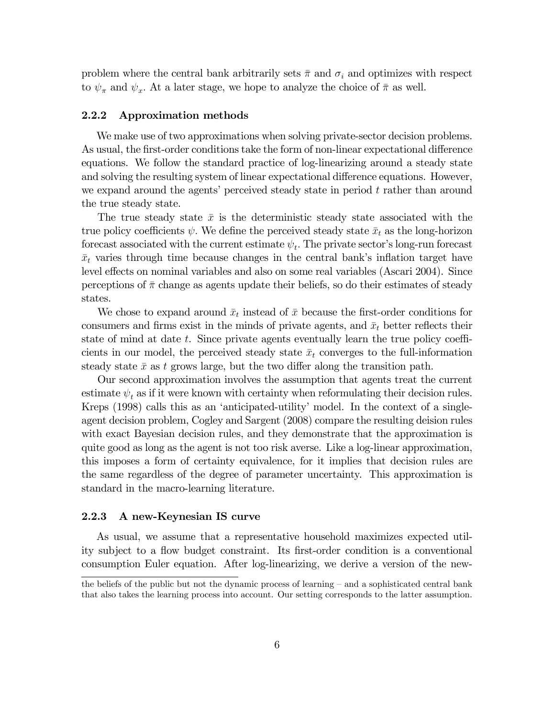problem where the central bank arbitrarily sets  $\bar{\pi}$  and  $\sigma_i$  and optimizes with respect to  $\psi_{\pi}$  and  $\psi_{x}$ . At a later stage, we hope to analyze the choice of  $\bar{\pi}$  as well.

### 2.2.2 Approximation methods

We make use of two approximations when solving private-sector decision problems. As usual, the first-order conditions take the form of non-linear expectational difference equations. We follow the standard practice of log-linearizing around a steady state and solving the resulting system of linear expectational difference equations. However, we expand around the agents' perceived steady state in period  $t$  rather than around the true steady state.

The true steady state  $\bar{x}$  is the deterministic steady state associated with the true policy coefficients  $\psi$ . We define the perceived steady state  $\bar{x}_t$  as the long-horizon forecast associated with the current estimate  $\psi_t$ . The private sector's long-run forecast  $\bar{x}_t$  varies through time because changes in the central bank's inflation target have level effects on nominal variables and also on some real variables (Ascari 2004). Since perceptions of  $\bar{\pi}$  change as agents update their beliefs, so do their estimates of steady states.

We chose to expand around  $\bar{x}_t$  instead of  $\bar{x}$  because the first-order conditions for consumers and firms exist in the minds of private agents, and  $\bar{x}_t$  better reflects their state of mind at date t. Since private agents eventually learn the true policy coefficients in our model, the perceived steady state  $\bar{x}_t$  converges to the full-information steady state  $\bar{x}$  as t grows large, but the two differ along the transition path.

Our second approximation involves the assumption that agents treat the current estimate  $\psi_t$  as if it were known with certainty when reformulating their decision rules. Kreps (1998) calls this as an 'anticipated-utility' model. In the context of a singleagent decision problem, Cogley and Sargent (2008) compare the resulting deision rules with exact Bayesian decision rules, and they demonstrate that the approximation is quite good as long as the agent is not too risk averse. Like a log-linear approximation, this imposes a form of certainty equivalence, for it implies that decision rules are the same regardless of the degree of parameter uncertainty. This approximation is standard in the macro-learning literature.

### 2.2.3 A new-Keynesian IS curve

As usual, we assume that a representative household maximizes expected utility subject to a flow budget constraint. Its first-order condition is a conventional consumption Euler equation. After log-linearizing, we derive a version of the new-

the beliefs of the public but not the dynamic process of learning — and a sophisticated central bank that also takes the learning process into account. Our setting corresponds to the latter assumption.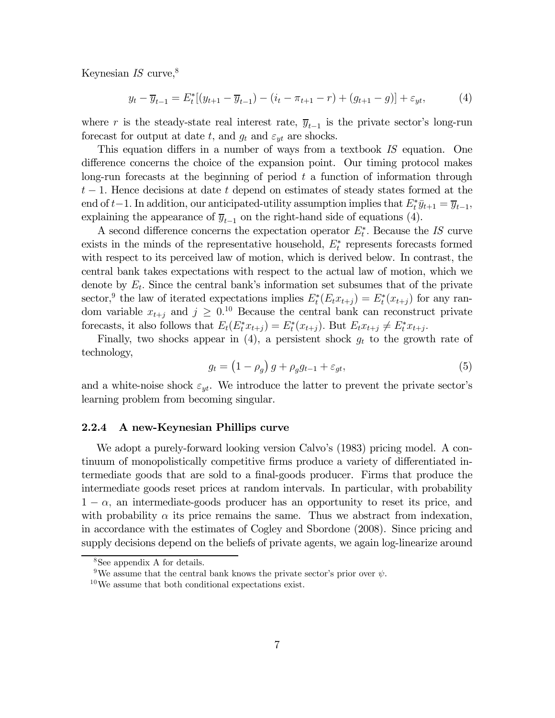Keynesian  $IS$  curve,  $8$ 

$$
y_t - \overline{y}_{t-1} = E_t^*[(y_{t+1} - \overline{y}_{t-1}) - (i_t - \pi_{t+1} - r) + (g_{t+1} - g)] + \varepsilon_{yt},
$$
(4)

where r is the steady-state real interest rate,  $\overline{y}_{t-1}$  is the private sector's long-run forecast for output at date t, and  $g_t$  and  $\varepsilon_{yt}$  are shocks.

This equation differs in a number of ways from a textbook IS equation. One difference concerns the choice of the expansion point. Our timing protocol makes long-run forecasts at the beginning of period  $t$  a function of information through  $t-1$ . Hence decisions at date t depend on estimates of steady states formed at the end of t−1. In addition, our anticipated-utility assumption implies that  $E_t^* \bar{y}_{t+1} = \bar{y}_{t-1}$ , explaining the appearance of  $\overline{y}_{t-1}$  on the right-hand side of equations (4).

A second difference concerns the expectation operator  $E_t^*$ . Because the IS curve exists in the minds of the representative household,  $E_t^*$  represents forecasts formed with respect to its perceived law of motion, which is derived below. In contrast, the central bank takes expectations with respect to the actual law of motion, which we denote by  $E_t$ . Since the central bank's information set subsumes that of the private sector,<sup>9</sup> the law of iterated expectations implies  $E_t^*(E_t x_{t+j}) = E_t^*(x_{t+j})$  for any random variable  $x_{t+j}$  and  $j \geq 0.10$  Because the central bank can reconstruct private forecasts, it also follows that  $E_t(E_t^* x_{t+j}) = E_t^*(x_{t+j})$ . But  $E_t x_{t+j} \neq E_t^* x_{t+j}$ .

Finally, two shocks appear in (4), a persistent shock  $g_t$  to the growth rate of technology,

$$
g_t = \left(1 - \rho_g\right)g + \rho_g g_{t-1} + \varepsilon_{gt},\tag{5}
$$

and a white-noise shock  $\varepsilon_{yt}$ . We introduce the latter to prevent the private sector's learning problem from becoming singular.

#### 2.2.4 A new-Keynesian Phillips curve

We adopt a purely-forward looking version Calvo's (1983) pricing model. A continuum of monopolistically competitive firms produce a variety of differentiated intermediate goods that are sold to a final-goods producer. Firms that produce the intermediate goods reset prices at random intervals. In particular, with probability  $1 - \alpha$ , an intermediate-goods producer has an opportunity to reset its price, and with probability  $\alpha$  its price remains the same. Thus we abstract from indexation, in accordance with the estimates of Cogley and Sbordone (2008). Since pricing and supply decisions depend on the beliefs of private agents, we again log-linearize around

<sup>8</sup>See appendix A for details.

<sup>&</sup>lt;sup>9</sup>We assume that the central bank knows the private sector's prior over  $\psi$ .

 $10\,\text{We assume that both conditional expectations exist.}$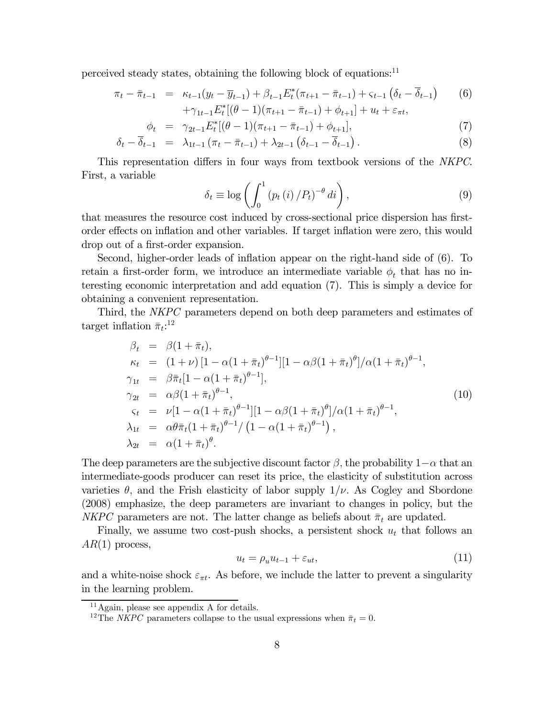perceived steady states, obtaining the following block of equations:<sup>11</sup>

$$
\pi_t - \bar{\pi}_{t-1} = \kappa_{t-1}(y_t - \bar{y}_{t-1}) + \beta_{t-1} E_t^* (\pi_{t+1} - \bar{\pi}_{t-1}) + \varsigma_{t-1} (\delta_t - \bar{\delta}_{t-1}) \qquad (6) \n+ \gamma_{1t-1} E_t^* [(\theta - 1)(\pi_{t+1} - \bar{\pi}_{t-1}) + \phi_{t+1}] + u_t + \varepsilon_{\pi t},
$$

$$
\phi_t = \gamma_{2t-1} E_t^* [(\theta - 1)(\pi_{t+1} - \bar{\pi}_{t-1}) + \phi_{t+1}], \tag{7}
$$

$$
\delta_t - \overline{\delta}_{t-1} = \lambda_{1t-1} (\pi_t - \overline{\pi}_{t-1}) + \lambda_{2t-1} (\delta_{t-1} - \overline{\delta}_{t-1}). \tag{8}
$$

This representation differs in four ways from textbook versions of the NKPC. First, a variable

$$
\delta_{t} \equiv \log \left( \int_{0}^{1} \left( p_{t} \left( i \right) / P_{t} \right)^{-\theta} di \right), \tag{9}
$$

that measures the resource cost induced by cross-sectional price dispersion has firstorder effects on inflation and other variables. If target inflation were zero, this would drop out of a first-order expansion.

Second, higher-order leads of inflation appear on the right-hand side of (6). To retain a first-order form, we introduce an intermediate variable  $\phi_t$  that has no interesting economic interpretation and add equation (7). This is simply a device for obtaining a convenient representation.

Third, the NKPC parameters depend on both deep parameters and estimates of target inflation  $\bar{\pi}_t$ :<sup>12</sup>

$$
\beta_{t} = \beta(1 + \bar{\pi}_{t}), \n\kappa_{t} = (1 + \nu) [1 - \alpha(1 + \bar{\pi}_{t})^{\theta - 1}] [1 - \alpha\beta(1 + \bar{\pi}_{t})^{\theta}] / \alpha(1 + \bar{\pi}_{t})^{\theta - 1}, \n\gamma_{1t} = \beta\bar{\pi}_{t} [1 - \alpha(1 + \bar{\pi}_{t})^{\theta - 1}], \n\gamma_{2t} = \alpha\beta(1 + \bar{\pi}_{t})^{\theta - 1}, \n\varsigma_{t} = \nu [1 - \alpha(1 + \bar{\pi}_{t})^{\theta - 1}] [1 - \alpha\beta(1 + \bar{\pi}_{t})^{\theta}] / \alpha(1 + \bar{\pi}_{t})^{\theta - 1}, \n\lambda_{1t} = \alpha\theta\bar{\pi}_{t} (1 + \bar{\pi}_{t})^{\theta - 1} / (1 - \alpha(1 + \bar{\pi}_{t})^{\theta - 1}), \n\lambda_{2t} = \alpha(1 + \bar{\pi}_{t})^{\theta}.
$$
\n(10)

The deep parameters are the subjective discount factor  $\beta$ , the probability  $1-\alpha$  that an intermediate-goods producer can reset its price, the elasticity of substitution across varieties  $\theta$ , and the Frish elasticity of labor supply  $1/\nu$ . As Cogley and Sbordone (2008) emphasize, the deep parameters are invariant to changes in policy, but the NKPC parameters are not. The latter change as beliefs about  $\bar{\pi}_t$  are updated.

Finally, we assume two cost-push shocks, a persistent shock  $u_t$  that follows an  $AR(1)$  process,

$$
u_t = \rho_u u_{t-1} + \varepsilon_{ut},\tag{11}
$$

and a white-noise shock  $\varepsilon_{\pi t}$ . As before, we include the latter to prevent a singularity in the learning problem.

 $^{11}\mathrm{Again},$  please see appendix A for details.

<sup>&</sup>lt;sup>12</sup>The *NKPC* parameters collapse to the usual expressions when  $\bar{\pi}_t = 0$ .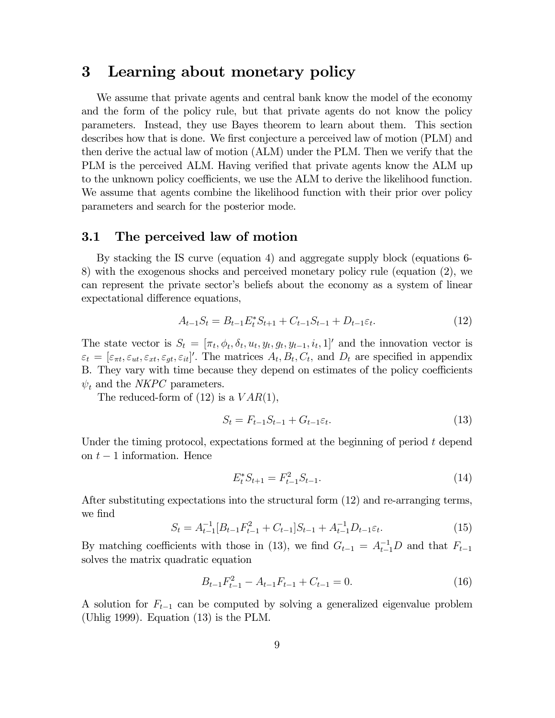## 3 Learning about monetary policy

We assume that private agents and central bank know the model of the economy and the form of the policy rule, but that private agents do not know the policy parameters. Instead, they use Bayes theorem to learn about them. This section describes how that is done. We first conjecture a perceived law of motion (PLM) and then derive the actual law of motion (ALM) under the PLM. Then we verify that the PLM is the perceived ALM. Having verified that private agents know the ALM up to the unknown policy coefficients, we use the ALM to derive the likelihood function. We assume that agents combine the likelihood function with their prior over policy parameters and search for the posterior mode.

## 3.1 The perceived law of motion

By stacking the IS curve (equation 4) and aggregate supply block (equations 6- 8) with the exogenous shocks and perceived monetary policy rule (equation (2), we can represent the private sector's beliefs about the economy as a system of linear expectational difference equations,

$$
A_{t-1}S_t = B_{t-1}E_t^*S_{t+1} + C_{t-1}S_{t-1} + D_{t-1}\varepsilon_t.
$$
\n(12)

The state vector is  $S_t = [\pi_t, \phi_t, \delta_t, u_t, y_t, g_t, y_{t-1}, i_t, 1]$  and the innovation vector is  $\varepsilon_t = [\varepsilon_{\pi t}, \varepsilon_{ut}, \varepsilon_{st}, \varepsilon_{gt}, \varepsilon_{it}]'$ . The matrices  $A_t, B_t, C_t$ , and  $D_t$  are specified in appendix B. They vary with time because they depend on estimates of the policy coefficients  $\psi_t$  and the *NKPC* parameters.

The reduced-form of  $(12)$  is a  $VAR(1)$ ,

$$
S_t = F_{t-1}S_{t-1} + G_{t-1}\varepsilon_t.
$$
\n(13)

Under the timing protocol, expectations formed at the beginning of period t depend on  $t-1$  information. Hence

$$
E_t^* S_{t+1} = F_{t-1}^2 S_{t-1}.
$$
\n(14)

After substituting expectations into the structural form (12) and re-arranging terms, we find

$$
S_t = A_{t-1}^{-1} [B_{t-1} F_{t-1}^2 + C_{t-1}] S_{t-1} + A_{t-1}^{-1} D_{t-1} \varepsilon_t.
$$
 (15)

By matching coefficients with those in (13), we find  $G_{t-1} = A_{t-1}^{-1}D$  and that  $F_{t-1}$ solves the matrix quadratic equation

$$
B_{t-1}F_{t-1}^2 - A_{t-1}F_{t-1} + C_{t-1} = 0.
$$
\n(16)

A solution for  $F_{t-1}$  can be computed by solving a generalized eigenvalue problem (Uhlig 1999). Equation (13) is the PLM.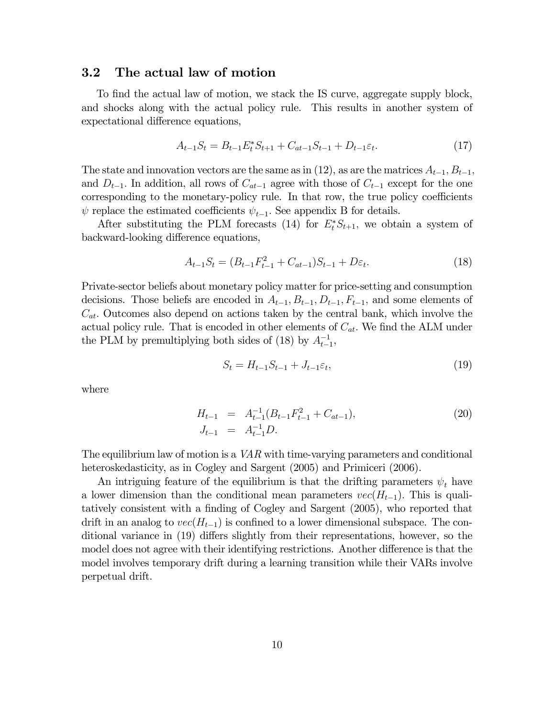### 3.2 The actual law of motion

To find the actual law of motion, we stack the IS curve, aggregate supply block, and shocks along with the actual policy rule. This results in another system of expectational difference equations,

$$
A_{t-1}S_t = B_{t-1}E_t^*S_{t+1} + C_{at-1}S_{t-1} + D_{t-1}\varepsilon_t.
$$
\n(17)

The state and innovation vectors are the same as in (12), as are the matrices  $A_{t-1}, B_{t-1}$ , and  $D_{t-1}$ . In addition, all rows of  $C_{at-1}$  agree with those of  $C_{t-1}$  except for the one corresponding to the monetary-policy rule. In that row, the true policy coefficients  $\psi$  replace the estimated coefficients  $\psi_{t-1}$ . See appendix B for details.

After substituting the PLM forecasts (14) for  $E_t^* S_{t+1}$ , we obtain a system of backward-looking difference equations,

$$
A_{t-1}S_t = (B_{t-1}F_{t-1}^2 + C_{at-1})S_{t-1} + D\varepsilon_t.
$$
\n(18)

Private-sector beliefs about monetary policy matter for price-setting and consumption decisions. Those beliefs are encoded in  $A_{t-1}, B_{t-1}, D_{t-1}, F_{t-1}$ , and some elements of  $C_{at}$ . Outcomes also depend on actions taken by the central bank, which involve the actual policy rule. That is encoded in other elements of  $C_{at}$ . We find the ALM under the PLM by premultiplying both sides of (18) by  $A_{t-1}^{-1}$ ,

$$
S_t = H_{t-1} S_{t-1} + J_{t-1} \varepsilon_t,\tag{19}
$$

where

$$
H_{t-1} = A_{t-1}^{-1} (B_{t-1} F_{t-1}^2 + C_{at-1}),
$$
  
\n
$$
J_{t-1} = A_{t-1}^{-1} D.
$$
\n(20)

The equilibrium law of motion is a  $VAR$  with time-varying parameters and conditional heteroskedasticity, as in Cogley and Sargent (2005) and Primiceri (2006).

An intriguing feature of the equilibrium is that the drifting parameters  $\psi_t$  have a lower dimension than the conditional mean parameters  $vec(H_{t-1})$ . This is qualitatively consistent with a finding of Cogley and Sargent (2005), who reported that drift in an analog to  $vec(H_{t-1})$  is confined to a lower dimensional subspace. The conditional variance in (19) differs slightly from their representations, however, so the model does not agree with their identifying restrictions. Another difference is that the model involves temporary drift during a learning transition while their VARs involve perpetual drift.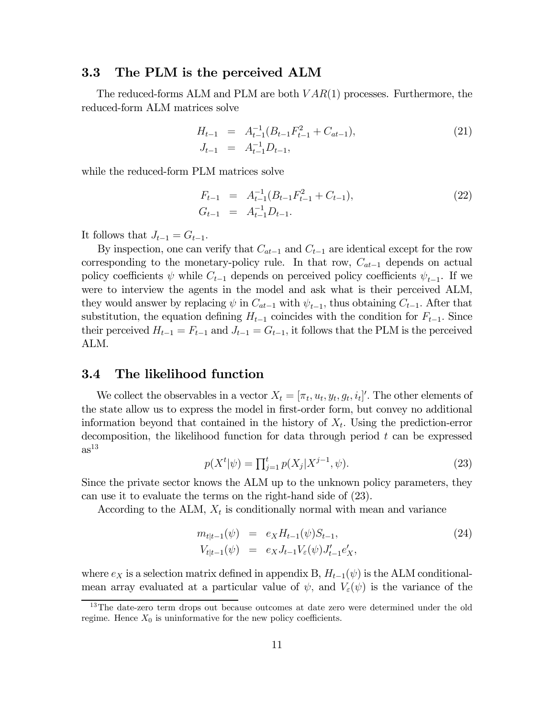### 3.3 The PLM is the perceived ALM

The reduced-forms ALM and PLM are both  $VAR(1)$  processes. Furthermore, the reduced-form ALM matrices solve

$$
H_{t-1} = A_{t-1}^{-1} (B_{t-1} F_{t-1}^2 + C_{at-1}),
$$
  
\n
$$
J_{t-1} = A_{t-1}^{-1} D_{t-1},
$$
\n(21)

while the reduced-form PLM matrices solve

$$
F_{t-1} = A_{t-1}^{-1} (B_{t-1} F_{t-1}^2 + C_{t-1}),
$$
  
\n
$$
G_{t-1} = A_{t-1}^{-1} D_{t-1}.
$$
\n(22)

It follows that  $J_{t-1} = G_{t-1}$ .

By inspection, one can verify that  $C_{at-1}$  and  $C_{t-1}$  are identical except for the row corresponding to the monetary-policy rule. In that row,  $C_{at-1}$  depends on actual policy coefficients  $\psi$  while  $C_{t-1}$  depends on perceived policy coefficients  $\psi_{t-1}$ . If we were to interview the agents in the model and ask what is their perceived ALM, they would answer by replacing  $\psi$  in  $C_{at-1}$  with  $\psi_{t-1}$ , thus obtaining  $C_{t-1}$ . After that substitution, the equation defining  $H_{t-1}$  coincides with the condition for  $F_{t-1}$ . Since their perceived  $H_{t-1} = F_{t-1}$  and  $J_{t-1} = G_{t-1}$ , it follows that the PLM is the perceived ALM.

### 3.4 The likelihood function

We collect the observables in a vector  $X_t = [\pi_t, u_t, y_t, g_t, i_t]'$ . The other elements of the state allow us to express the model in first-order form, but convey no additional information beyond that contained in the history of  $X_t$ . Using the prediction-error decomposition, the likelihood function for data through period  $t$  can be expressed  $as^{13}$ 

$$
p(X^t|\psi) = \prod_{j=1}^t p(X_j|X^{j-1}, \psi).
$$
\n(23)

Since the private sector knows the ALM up to the unknown policy parameters, they can use it to evaluate the terms on the right-hand side of (23).

According to the ALM,  $X_t$  is conditionally normal with mean and variance

$$
m_{t|t-1}(\psi) = e_X H_{t-1}(\psi) S_{t-1},
$$
  
\n
$$
V_{t|t-1}(\psi) = e_X J_{t-1} V_{\varepsilon}(\psi) J'_{t-1} e'_X,
$$
\n(24)

where  $e_X$  is a selection matrix defined in appendix B,  $H_{t-1}(\psi)$  is the ALM conditionalmean array evaluated at a particular value of  $\psi$ , and  $V_{\varepsilon}(\psi)$  is the variance of the

<sup>13</sup>The date-zero term drops out because outcomes at date zero were determined under the old regime. Hence  $X_0$  is uninformative for the new policy coefficients.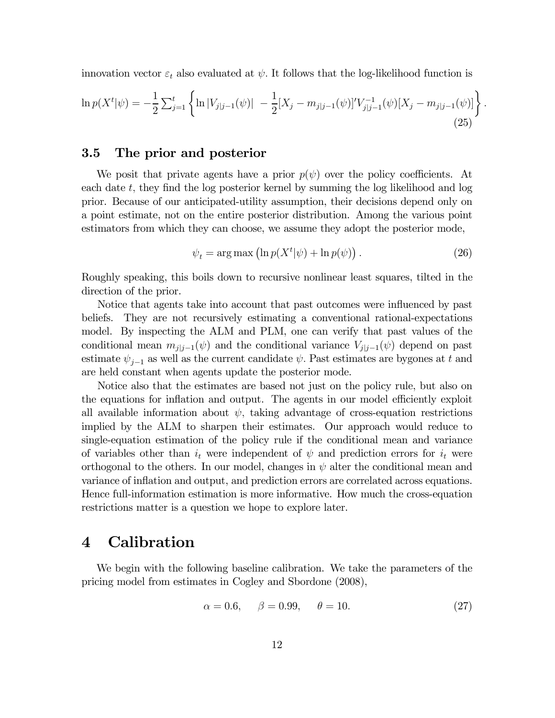innovation vector  $\varepsilon_t$  also evaluated at  $\psi$ . It follows that the log-likelihood function is

$$
\ln p(X^t|\psi) = -\frac{1}{2} \sum_{j=1}^t \left\{ \ln |V_{j|j-1}(\psi)| - \frac{1}{2} [X_j - m_{j|j-1}(\psi)]' V_{j|j-1}^{-1}(\psi) [X_j - m_{j|j-1}(\psi)] \right\}
$$
(25)

### 3.5 The prior and posterior

We posit that private agents have a prior  $p(\psi)$  over the policy coefficients. At each date  $t$ , they find the log posterior kernel by summing the log likelihood and log prior. Because of our anticipated-utility assumption, their decisions depend only on a point estimate, not on the entire posterior distribution. Among the various point estimators from which they can choose, we assume they adopt the posterior mode,

$$
\psi_t = \arg \max \left( \ln p(X^t | \psi) + \ln p(\psi) \right). \tag{26}
$$

.

Roughly speaking, this boils down to recursive nonlinear least squares, tilted in the direction of the prior.

Notice that agents take into account that past outcomes were influenced by past beliefs. They are not recursively estimating a conventional rational-expectations model. By inspecting the ALM and PLM, one can verify that past values of the conditional mean  $m_{j|j-1}(\psi)$  and the conditional variance  $V_{j|j-1}(\psi)$  depend on past estimate  $\psi_{i-1}$  as well as the current candidate  $\psi$ . Past estimates are bygones at t and are held constant when agents update the posterior mode.

Notice also that the estimates are based not just on the policy rule, but also on the equations for inflation and output. The agents in our model efficiently exploit all available information about  $\psi$ , taking advantage of cross-equation restrictions implied by the ALM to sharpen their estimates. Our approach would reduce to single-equation estimation of the policy rule if the conditional mean and variance of variables other than  $i_t$  were independent of  $\psi$  and prediction errors for  $i_t$  were orthogonal to the others. In our model, changes in  $\psi$  alter the conditional mean and variance of inflation and output, and prediction errors are correlated across equations. Hence full-information estimation is more informative. How much the cross-equation restrictions matter is a question we hope to explore later.

## 4 Calibration

We begin with the following baseline calibration. We take the parameters of the pricing model from estimates in Cogley and Sbordone (2008),

$$
\alpha = 0.6, \quad \beta = 0.99, \quad \theta = 10.
$$
\n(27)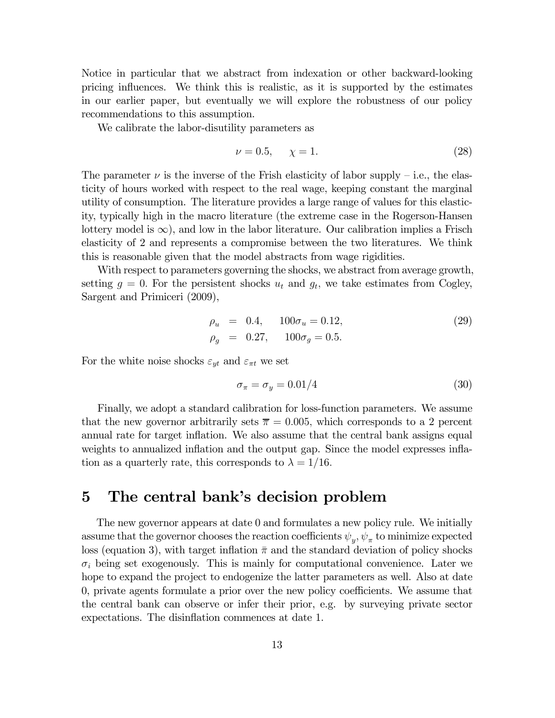Notice in particular that we abstract from indexation or other backward-looking pricing influences. We think this is realistic, as it is supported by the estimates in our earlier paper, but eventually we will explore the robustness of our policy recommendations to this assumption.

We calibrate the labor-disutility parameters as

$$
\nu = 0.5, \quad \chi = 1. \tag{28}
$$

The parameter  $\nu$  is the inverse of the Frish elasticity of labor supply – i.e., the elasticity of hours worked with respect to the real wage, keeping constant the marginal utility of consumption. The literature provides a large range of values for this elasticity, typically high in the macro literature (the extreme case in the Rogerson-Hansen lottery model is  $\infty$ ), and low in the labor literature. Our calibration implies a Frisch elasticity of 2 and represents a compromise between the two literatures. We think this is reasonable given that the model abstracts from wage rigidities.

With respect to parameters governing the shocks, we abstract from average growth, setting  $g = 0$ . For the persistent shocks  $u_t$  and  $g_t$ , we take estimates from Cogley, Sargent and Primiceri (2009),

$$
\rho_u = 0.4, \quad 100\sigma_u = 0.12, \n\rho_g = 0.27, \quad 100\sigma_g = 0.5.
$$
\n(29)

For the white noise shocks  $\varepsilon_{yt}$  and  $\varepsilon_{\pi t}$  we set

$$
\sigma_{\pi} = \sigma_y = 0.01/4 \tag{30}
$$

Finally, we adopt a standard calibration for loss-function parameters. We assume that the new governor arbitrarily sets  $\bar{\pi} = 0.005$ , which corresponds to a 2 percent annual rate for target inflation. We also assume that the central bank assigns equal weights to annualized inflation and the output gap. Since the model expresses inflation as a quarterly rate, this corresponds to  $\lambda = 1/16$ .

# 5 The central bank's decision problem

The new governor appears at date 0 and formulates a new policy rule. We initially assume that the governor chooses the reaction coefficients  $\psi_y$ ,  $\psi_\pi$  to minimize expected loss (equation 3), with target inflation  $\bar{\pi}$  and the standard deviation of policy shocks  $\sigma_i$  being set exogenously. This is mainly for computational convenience. Later we hope to expand the project to endogenize the latter parameters as well. Also at date 0, private agents formulate a prior over the new policy coefficients. We assume that the central bank can observe or infer their prior, e.g. by surveying private sector expectations. The disinflation commences at date 1.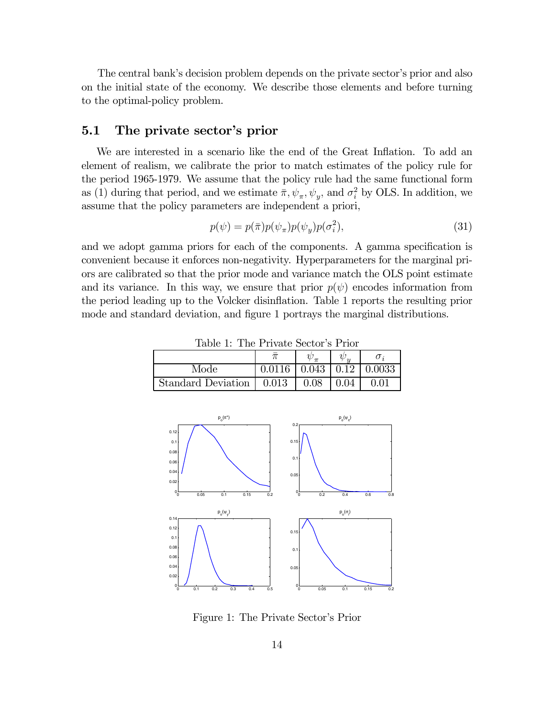The central bank's decision problem depends on the private sector's prior and also on the initial state of the economy. We describe those elements and before turning to the optimal-policy problem.

# 5.1 The private sector's prior

We are interested in a scenario like the end of the Great Inflation. To add an element of realism, we calibrate the prior to match estimates of the policy rule for the period 1965-1979. We assume that the policy rule had the same functional form as (1) during that period, and we estimate  $\bar{\pi}$ ,  $\psi_{\pi}$ ,  $\psi_{y}$ , and  $\sigma_{i}^{2}$  by OLS. In addition, we assume that the policy parameters are independent a priori,

$$
p(\psi) = p(\bar{\pi})p(\psi_{\pi})p(\psi_{y})p(\sigma_{i}^{2}), \qquad (31)
$$

and we adopt gamma priors for each of the components. A gamma specification is convenient because it enforces non-negativity. Hyperparameters for the marginal priors are calibrated so that the prior mode and variance match the OLS point estimate and its variance. In this way, we ensure that prior  $p(\psi)$  encodes information from the period leading up to the Volcker disinflation. Table 1 reports the resulting prior mode and standard deviation, and figure 1 portrays the marginal distributions.

| Mode                      | 0.0116 | 0.043 | 0.0033 |
|---------------------------|--------|-------|--------|
| <b>Standard Deviation</b> | 0.013  | 0.08  | O 01   |

Table 1: The Private Sector's Prior



Figure 1: The Private Sector's Prior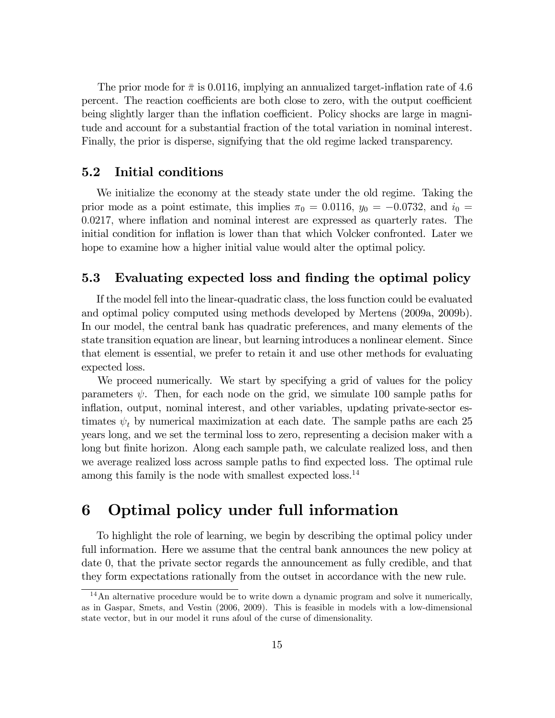The prior mode for  $\bar{\pi}$  is 0.0116, implying an annualized target-inflation rate of 4.6 percent. The reaction coefficients are both close to zero, with the output coefficient being slightly larger than the inflation coefficient. Policy shocks are large in magnitude and account for a substantial fraction of the total variation in nominal interest. Finally, the prior is disperse, signifying that the old regime lacked transparency.

## 5.2 Initial conditions

We initialize the economy at the steady state under the old regime. Taking the prior mode as a point estimate, this implies  $\pi_0 = 0.0116$ ,  $y_0 = -0.0732$ , and  $i_0 =$ 0.0217, where inflation and nominal interest are expressed as quarterly rates. The initial condition for inflation is lower than that which Volcker confronted. Later we hope to examine how a higher initial value would alter the optimal policy.

## 5.3 Evaluating expected loss and finding the optimal policy

If the model fell into the linear-quadratic class, the loss function could be evaluated and optimal policy computed using methods developed by Mertens (2009a, 2009b). In our model, the central bank has quadratic preferences, and many elements of the state transition equation are linear, but learning introduces a nonlinear element. Since that element is essential, we prefer to retain it and use other methods for evaluating expected loss.

We proceed numerically. We start by specifying a grid of values for the policy parameters  $\psi$ . Then, for each node on the grid, we simulate 100 sample paths for inflation, output, nominal interest, and other variables, updating private-sector estimates  $\psi_t$  by numerical maximization at each date. The sample paths are each 25 years long, and we set the terminal loss to zero, representing a decision maker with a long but finite horizon. Along each sample path, we calculate realized loss, and then we average realized loss across sample paths to find expected loss. The optimal rule among this family is the node with smallest expected loss.<sup>14</sup>

# 6 Optimal policy under full information

To highlight the role of learning, we begin by describing the optimal policy under full information. Here we assume that the central bank announces the new policy at date 0, that the private sector regards the announcement as fully credible, and that they form expectations rationally from the outset in accordance with the new rule.

<sup>&</sup>lt;sup>14</sup>An alternative procedure would be to write down a dynamic program and solve it numerically, as in Gaspar, Smets, and Vestin (2006, 2009). This is feasible in models with a low-dimensional state vector, but in our model it runs afoul of the curse of dimensionality.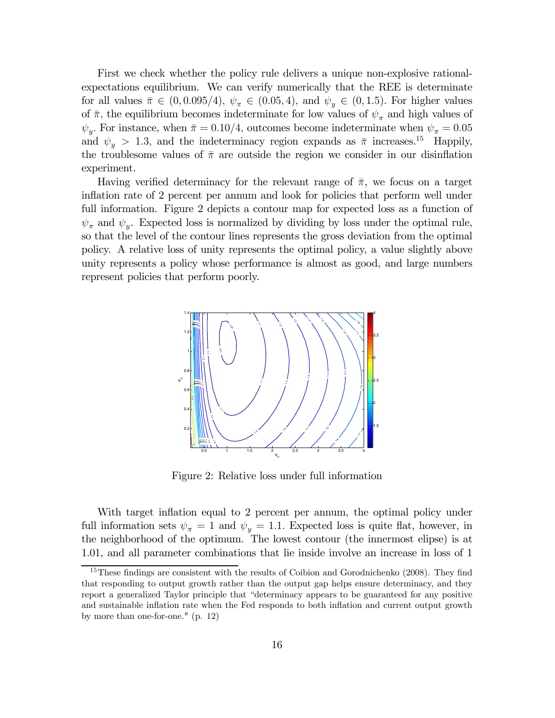First we check whether the policy rule delivers a unique non-explosive rationalexpectations equilibrium. We can verify numerically that the REE is determinate for all values  $\bar{\pi} \in (0, 0.095/4), \psi_{\pi} \in (0.05, 4),$  and  $\psi_{y} \in (0, 1.5)$ . For higher values of  $\bar{\pi}$ , the equilibrium becomes indeterminate for low values of  $\psi_{\pi}$  and high values of  $\psi_y$ . For instance, when  $\bar{\pi} = 0.10/4$ , outcomes become indeterminate when  $\psi_{\pi} = 0.05$ and  $\psi_y > 1.3$ , and the indeterminacy region expands as  $\bar{\pi}$  increases.<sup>15</sup> Happily, the troublesome values of  $\bar{\pi}$  are outside the region we consider in our disinflation experiment.

Having verified determinacy for the relevant range of  $\bar{\pi}$ , we focus on a target inflation rate of 2 percent per annum and look for policies that perform well under full information. Figure 2 depicts a contour map for expected loss as a function of  $\psi_{\pi}$  and  $\psi_{\nu}$ . Expected loss is normalized by dividing by loss under the optimal rule, so that the level of the contour lines represents the gross deviation from the optimal policy. A relative loss of unity represents the optimal policy, a value slightly above unity represents a policy whose performance is almost as good, and large numbers represent policies that perform poorly.



Figure 2: Relative loss under full information

With target inflation equal to 2 percent per annum, the optimal policy under full information sets  $\psi_{\pi} = 1$  and  $\psi_{\nu} = 1.1$ . Expected loss is quite flat, however, in the neighborhood of the optimum. The lowest contour (the innermost elipse) is at 1.01, and all parameter combinations that lie inside involve an increase in loss of 1

<sup>&</sup>lt;sup>15</sup>These findings are consistent with the results of Coibion and Gorodnichenko (2008). They find that responding to output growth rather than the output gap helps ensure determinacy, and they report a generalized Taylor principle that "determinacy appears to be guaranteed for any positive and sustainable inflation rate when the Fed responds to both inflation and current output growth by more than one-for-one." (p. 12)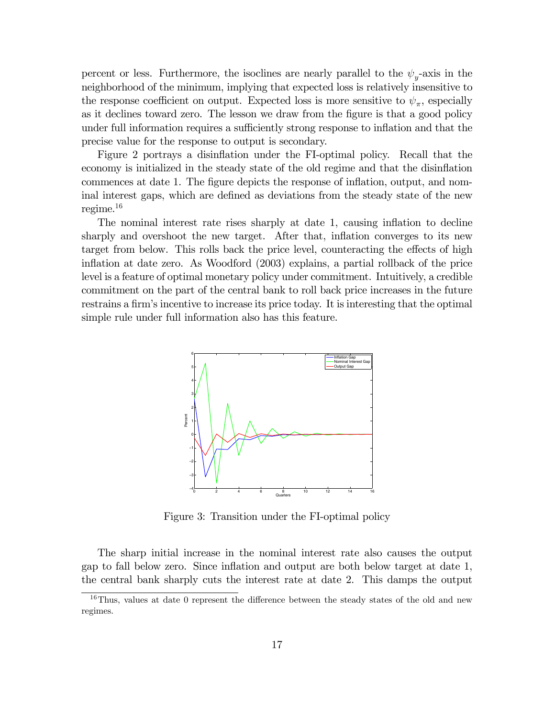percent or less. Furthermore, the isoclines are nearly parallel to the  $\psi_{y}$ -axis in the neighborhood of the minimum, implying that expected loss is relatively insensitive to the response coefficient on output. Expected loss is more sensitive to  $\psi_{\pi}$ , especially as it declines toward zero. The lesson we draw from the figure is that a good policy under full information requires a sufficiently strong response to inflation and that the precise value for the response to output is secondary.

Figure 2 portrays a disinflation under the FI-optimal policy. Recall that the economy is initialized in the steady state of the old regime and that the disinflation commences at date 1. The figure depicts the response of inflation, output, and nominal interest gaps, which are defined as deviations from the steady state of the new regime. $^{16}$ 

The nominal interest rate rises sharply at date 1, causing inflation to decline sharply and overshoot the new target. After that, inflation converges to its new target from below. This rolls back the price level, counteracting the effects of high inflation at date zero. As Woodford (2003) explains, a partial rollback of the price level is a feature of optimal monetary policy under commitment. Intuitively, a credible commitment on the part of the central bank to roll back price increases in the future restrains a firm's incentive to increase its price today. It is interesting that the optimal simple rule under full information also has this feature.



Figure 3: Transition under the FI-optimal policy

The sharp initial increase in the nominal interest rate also causes the output gap to fall below zero. Since inflation and output are both below target at date 1, the central bank sharply cuts the interest rate at date 2. This damps the output

<sup>&</sup>lt;sup>16</sup>Thus, values at date 0 represent the difference between the steady states of the old and new regimes.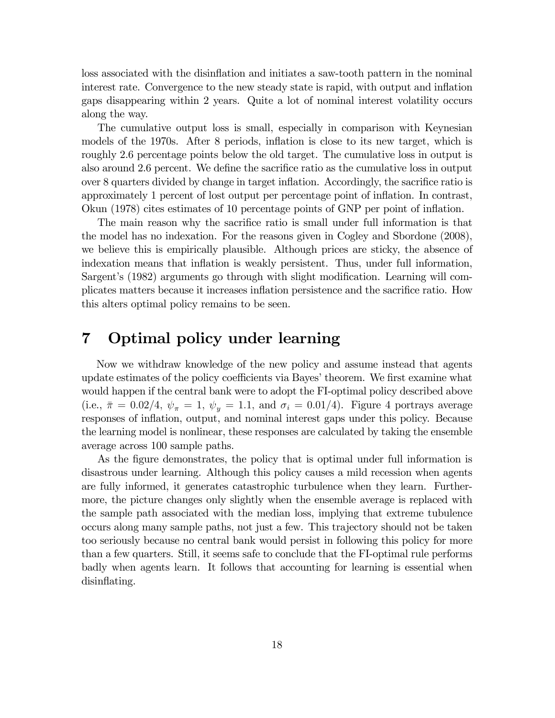loss associated with the disinflation and initiates a saw-tooth pattern in the nominal interest rate. Convergence to the new steady state is rapid, with output and inflation gaps disappearing within 2 years. Quite a lot of nominal interest volatility occurs along the way.

The cumulative output loss is small, especially in comparison with Keynesian models of the 1970s. After 8 periods, inflation is close to its new target, which is roughly 2.6 percentage points below the old target. The cumulative loss in output is also around 2.6 percent. We define the sacrifice ratio as the cumulative loss in output over 8 quarters divided by change in target inflation. Accordingly, the sacrifice ratio is approximately 1 percent of lost output per percentage point of inflation. In contrast, Okun (1978) cites estimates of 10 percentage points of GNP per point of inflation.

The main reason why the sacrifice ratio is small under full information is that the model has no indexation. For the reasons given in Cogley and Sbordone (2008), we believe this is empirically plausible. Although prices are sticky, the absence of indexation means that inflation is weakly persistent. Thus, under full information, Sargent's (1982) arguments go through with slight modification. Learning will complicates matters because it increases inflation persistence and the sacrifice ratio. How this alters optimal policy remains to be seen.

# 7 Optimal policy under learning

Now we withdraw knowledge of the new policy and assume instead that agents update estimates of the policy coefficients via Bayes' theorem. We first examine what would happen if the central bank were to adopt the FI-optimal policy described above (i.e.,  $\bar{\pi} = 0.02/4$ ,  $\psi_{\pi} = 1$ ,  $\psi_{y} = 1.1$ , and  $\sigma_{i} = 0.01/4$ ). Figure 4 portrays average responses of inflation, output, and nominal interest gaps under this policy. Because the learning model is nonlinear, these responses are calculated by taking the ensemble average across 100 sample paths.

As the figure demonstrates, the policy that is optimal under full information is disastrous under learning. Although this policy causes a mild recession when agents are fully informed, it generates catastrophic turbulence when they learn. Furthermore, the picture changes only slightly when the ensemble average is replaced with the sample path associated with the median loss, implying that extreme tubulence occurs along many sample paths, not just a few. This trajectory should not be taken too seriously because no central bank would persist in following this policy for more than a few quarters. Still, it seems safe to conclude that the FI-optimal rule performs badly when agents learn. It follows that accounting for learning is essential when disinflating.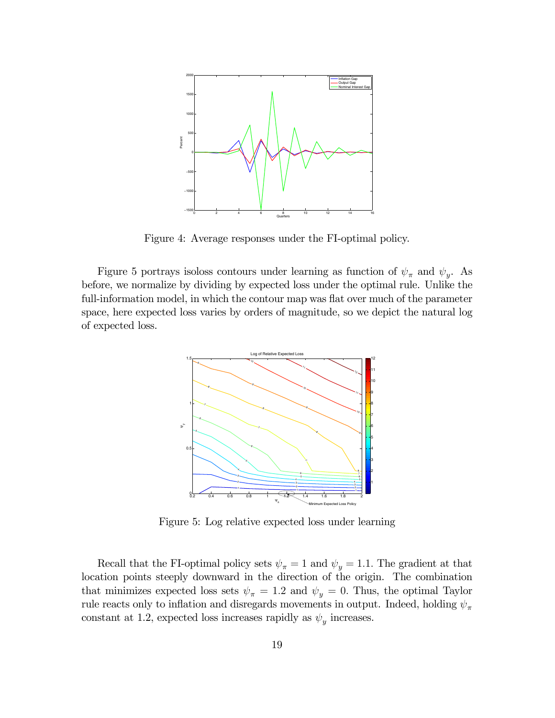

Figure 4: Average responses under the FI-optimal policy.

Figure 5 portrays isoloss contours under learning as function of  $\psi_{\pi}$  and  $\psi_{y}$ . As before, we normalize by dividing by expected loss under the optimal rule. Unlike the full-information model, in which the contour map was flat over much of the parameter space, here expected loss varies by orders of magnitude, so we depict the natural log of expected loss.



Figure 5: Log relative expected loss under learning

Recall that the FI-optimal policy sets  $\psi_{\pi} = 1$  and  $\psi_{y} = 1.1$ . The gradient at that location points steeply downward in the direction of the origin. The combination that minimizes expected loss sets  $\psi_{\pi} = 1.2$  and  $\psi_{y} = 0$ . Thus, the optimal Taylor rule reacts only to inflation and disregards movements in output. Indeed, holding  $\psi_{\pi}$ constant at 1.2, expected loss increases rapidly as  $\psi_y$  increases.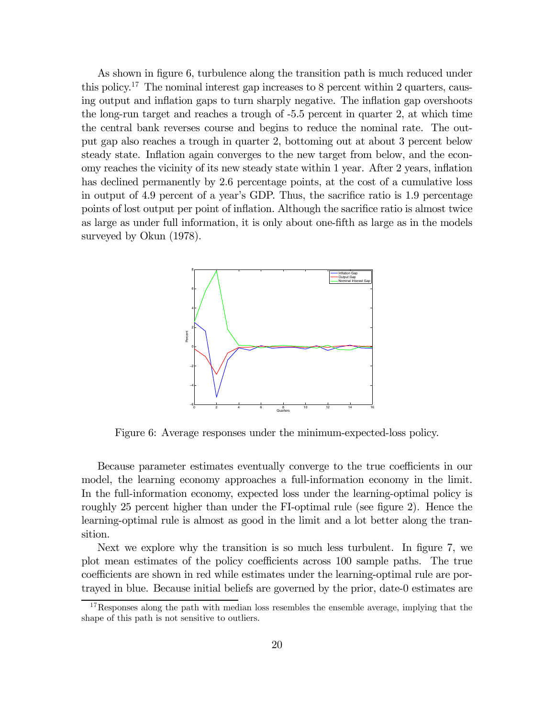As shown in figure 6, turbulence along the transition path is much reduced under this policy.17 The nominal interest gap increases to 8 percent within 2 quarters, causing output and inflation gaps to turn sharply negative. The inflation gap overshoots the long-run target and reaches a trough of -5.5 percent in quarter 2, at which time the central bank reverses course and begins to reduce the nominal rate. The output gap also reaches a trough in quarter 2, bottoming out at about 3 percent below steady state. Inflation again converges to the new target from below, and the economy reaches the vicinity of its new steady state within 1 year. After 2 years, inflation has declined permanently by 2.6 percentage points, at the cost of a cumulative loss in output of 4.9 percent of a year's GDP. Thus, the sacrifice ratio is 1.9 percentage points of lost output per point of inflation. Although the sacrifice ratio is almost twice as large as under full information, it is only about one-fifth as large as in the models surveyed by Okun (1978).



Figure 6: Average responses under the minimum-expected-loss policy.

Because parameter estimates eventually converge to the true coefficients in our model, the learning economy approaches a full-information economy in the limit. In the full-information economy, expected loss under the learning-optimal policy is roughly 25 percent higher than under the FI-optimal rule (see figure 2). Hence the learning-optimal rule is almost as good in the limit and a lot better along the transition.

Next we explore why the transition is so much less turbulent. In figure 7, we plot mean estimates of the policy coefficients across 100 sample paths. The true coefficients are shown in red while estimates under the learning-optimal rule are portrayed in blue. Because initial beliefs are governed by the prior, date-0 estimates are

<sup>&</sup>lt;sup>17</sup>Responses along the path with median loss resembles the ensemble average, implying that the shape of this path is not sensitive to outliers.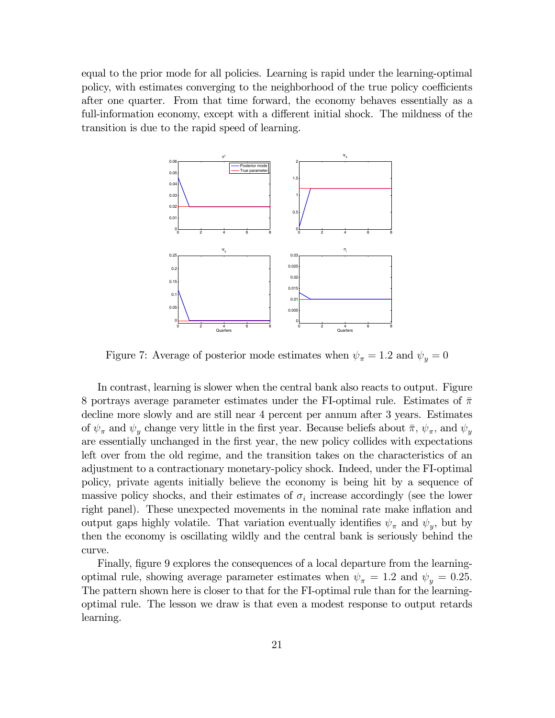equal to the prior mode for all policies. Learning is rapid under the learning-optimal policy, with estimates converging to the neighborhood of the true policy coefficients after one quarter. From that time forward, the economy behaves essentially as a full-information economy, except with a different initial shock. The mildness of the transition is due to the rapid speed of learning.



Figure 7: Average of posterior mode estimates when  $\psi_{\pi} = 1.2$  and  $\psi_{\nu} = 0$ 

In contrast, learning is slower when the central bank also reacts to output. Figure 8 portrays average parameter estimates under the FI-optimal rule. Estimates of  $\bar{\pi}$ decline more slowly and are still near 4 percent per annum after 3 years. Estimates of  $\psi_{\pi}$  and  $\psi_{\nu}$  change very little in the first year. Because beliefs about  $\bar{\pi}$ ,  $\psi_{\pi}$ , and  $\psi_{\nu}$ are essentially unchanged in the first year, the new policy collides with expectations left over from the old regime, and the transition takes on the characteristics of an adjustment to a contractionary monetary-policy shock. Indeed, under the FI-optimal policy, private agents initially believe the economy is being hit by a sequence of massive policy shocks, and their estimates of  $\sigma_i$  increase accordingly (see the lower right panel). These unexpected movements in the nominal rate make inflation and output gaps highly volatile. That variation eventually identifies  $\psi_{\pi}$  and  $\psi_{\nu}$ , but by then the economy is oscillating wildly and the central bank is seriously behind the curve.

Finally, figure 9 explores the consequences of a local departure from the learningoptimal rule, showing average parameter estimates when  $\psi_{\pi} = 1.2$  and  $\psi_{y} = 0.25$ . The pattern shown here is closer to that for the FI-optimal rule than for the learningoptimal rule. The lesson we draw is that even a modest response to output retards learning.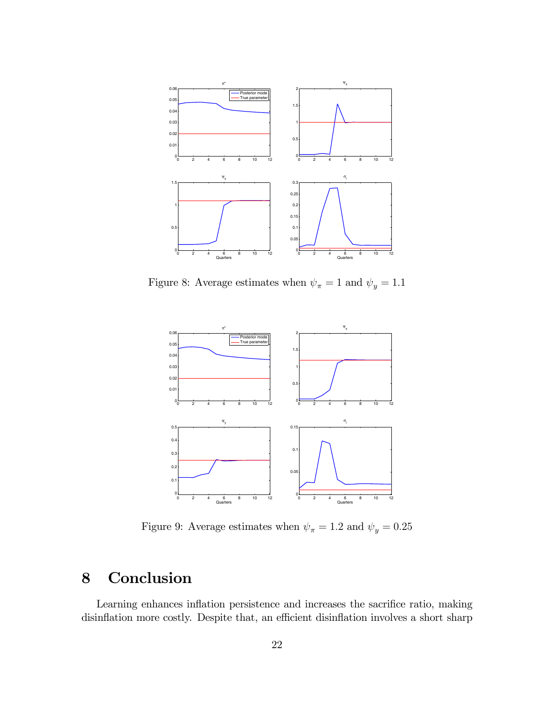

Figure 8: Average estimates when  $\psi_\pi=1$  and  $\psi_y=1.1$ 



Figure 9: Average estimates when  $\psi_\pi=1.2$  and  $\psi_y=0.25$ 

# 8 Conclusion

Learning enhances inflation persistence and increases the sacrifice ratio, making disinflation more costly. Despite that, an efficient disinflation involves a short sharp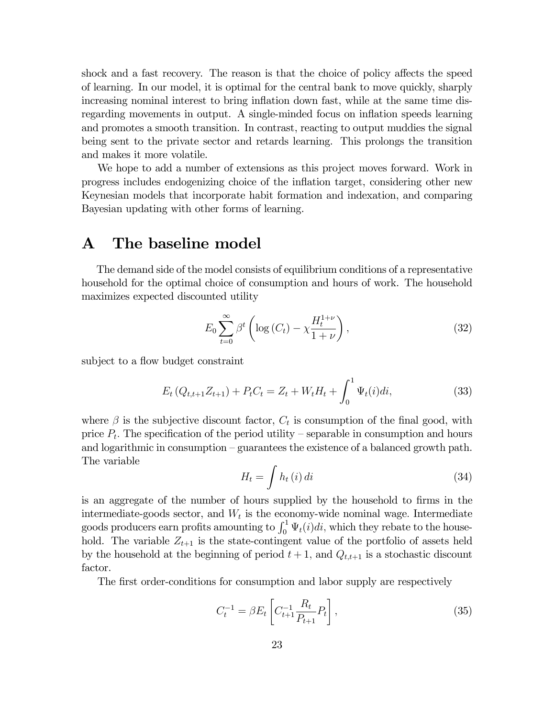shock and a fast recovery. The reason is that the choice of policy affects the speed of learning. In our model, it is optimal for the central bank to move quickly, sharply increasing nominal interest to bring inflation down fast, while at the same time disregarding movements in output. A single-minded focus on inflation speeds learning and promotes a smooth transition. In contrast, reacting to output muddies the signal being sent to the private sector and retards learning. This prolongs the transition and makes it more volatile.

We hope to add a number of extensions as this project moves forward. Work in progress includes endogenizing choice of the inflation target, considering other new Keynesian models that incorporate habit formation and indexation, and comparing Bayesian updating with other forms of learning.

## A The baseline model

The demand side of the model consists of equilibrium conditions of a representative household for the optimal choice of consumption and hours of work. The household maximizes expected discounted utility

$$
E_0 \sum_{t=0}^{\infty} \beta^t \left( \log \left( C_t \right) - \chi \frac{H_t^{1+\nu}}{1+\nu} \right), \tag{32}
$$

subject to a flow budget constraint

$$
E_t (Q_{t,t+1} Z_{t+1}) + P_t C_t = Z_t + W_t H_t + \int_0^1 \Psi_t(i) di,
$$
\n(33)

where  $\beta$  is the subjective discount factor,  $C_t$  is consumption of the final good, with price  $P_t$ . The specification of the period utility – separable in consumption and hours and logarithmic in consumption — guarantees the existence of a balanced growth path. The variable

$$
H_t = \int h_t(i) \, di \tag{34}
$$

is an aggregate of the number of hours supplied by the household to firms in the intermediate-goods sector, and  $W_t$  is the economy-wide nominal wage. Intermediate goods producers earn profits amounting to  $\int_0^1 \Psi_t(i)di$ , which they rebate to the household. The variable  $Z_{t+1}$  is the state-contingent value of the portfolio of assets held by the household at the beginning of period  $t + 1$ , and  $Q_{t,t+1}$  is a stochastic discount factor.

The first order-conditions for consumption and labor supply are respectively

$$
C_t^{-1} = \beta E_t \left[ C_{t+1}^{-1} \frac{R_t}{P_{t+1}} P_t \right],\tag{35}
$$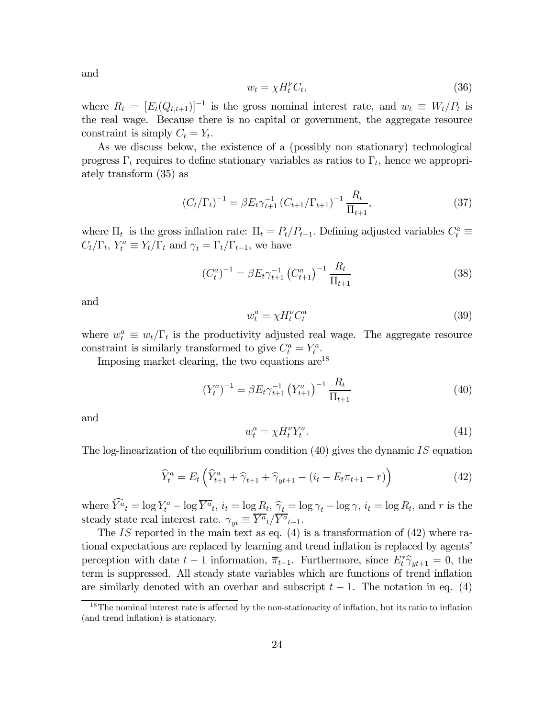and

$$
w_t = \chi H_t^{\nu} C_t,\tag{36}
$$

where  $R_t = [E_t(Q_{t,t+1})]^{-1}$  is the gross nominal interest rate, and  $w_t \equiv W_t/P_t$  is the real wage. Because there is no capital or government, the aggregate resource constraint is simply  $C_t = Y_t$ .

As we discuss below, the existence of a (possibly non stationary) technological progress  $\Gamma_t$  requires to define stationary variables as ratios to  $\Gamma_t$ , hence we appropriately transform (35) as

$$
\left(C_{t}/\Gamma_{t}\right)^{-1} = \beta E_{t} \gamma_{t+1}^{-1} \left(C_{t+1}/\Gamma_{t+1}\right)^{-1} \frac{R_{t}}{\Pi_{t+1}},\tag{37}
$$

where  $\Pi_t$  is the gross inflation rate:  $\Pi_t = P_t/P_{t-1}$ . Defining adjusted variables  $C_t^a \equiv$  $C_t/\Gamma_t$ ,  $Y_t^a \equiv Y_t/\Gamma_t$  and  $\gamma_t = \Gamma_t/\Gamma_{t-1}$ , we have

$$
\left(C_t^a\right)^{-1} = \beta E_t \gamma_{t+1}^{-1} \left(C_{t+1}^a\right)^{-1} \frac{R_t}{\Pi_{t+1}}
$$
\n(38)

and

$$
w_t^a = \chi H_t^{\nu} C_t^a \tag{39}
$$

where  $w_t^a \equiv w_t/\Gamma_t$  is the productivity adjusted real wage. The aggregate resource constraint is similarly transformed to give  $C_t^a = Y_t^a$ .

Imposing market clearing, the two equations are  $18$ 

$$
\left(Y_t^a\right)^{-1} = \beta E_t \gamma_{t+1}^{-1} \left(Y_{t+1}^a\right)^{-1} \frac{R_t}{\Pi_{t+1}} \tag{40}
$$

and

$$
w_t^a = \chi H_t^\nu Y_t^a. \tag{41}
$$

The log-linearization of the equilibrium condition  $(40)$  gives the dynamic IS equation

$$
\widehat{Y}_t^a = E_t \left( \widehat{Y}_{t+1}^a + \widehat{\gamma}_{t+1} + \widehat{\gamma}_{yt+1} - (i_t - E_t \pi_{t+1} - r) \right)
$$
\n(42)

where  $\overline{Y}^{\tilde{a}}_t = \log Y_t^a - \log \overline{Y}^{\tilde{a}}_t$ ,  $i_t = \log R_t$ ,  $\widehat{\gamma}_t = \log \gamma_t - \log \gamma$ ,  $i_t = \log R_t$ , and r is the steady state real interest rate.  $\gamma_{yt} \equiv \overline{Y^a}_{t}/\overline{Y^a}_{t-1}$ .

The IS reported in the main text as eq.  $(4)$  is a transformation of  $(42)$  where rational expectations are replaced by learning and trend inflation is replaced by agents' perception with date  $t-1$  information,  $\overline{\pi}_{t-1}$ . Furthermore, since  $E_t^* \hat{\gamma}_{yt+1} = 0$ , the term is suppressed. All steady state variables which are functions of trend inflation are similarly denoted with an overbar and subscript  $t - 1$ . The notation in eq. (4)

<sup>&</sup>lt;sup>18</sup>The nominal interest rate is affected by the non-stationarity of inflation, but its ratio to inflation (and trend inflation) is stationary.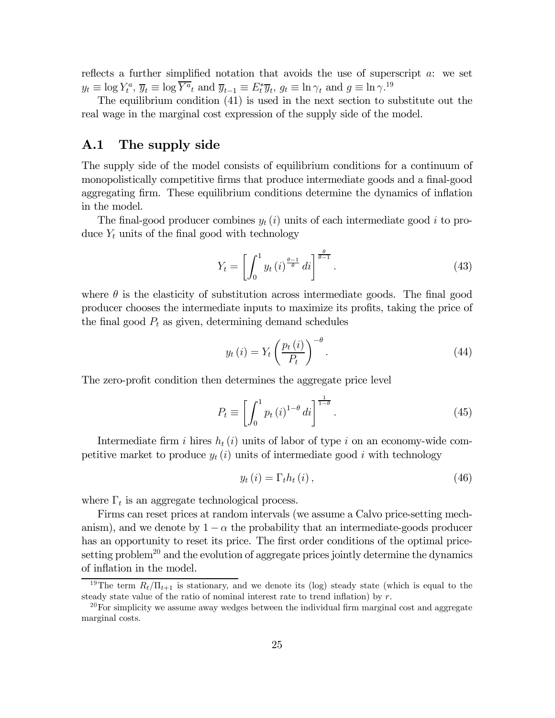reflects a further simplified notation that avoids the use of superscript  $a$ : we set  $y_t \equiv \log Y_t^a$ ,  $\overline{y}_t \equiv \log \overline{Y^a}_t$  and  $\overline{y}_{t-1} \equiv E_t^* \overline{y}_t$ ,  $g_t \equiv \ln \gamma_t$  and  $g \equiv \ln \gamma^{19}$ 

The equilibrium condition (41) is used in the next section to substitute out the real wage in the marginal cost expression of the supply side of the model.

## A.1 The supply side

The supply side of the model consists of equilibrium conditions for a continuum of monopolistically competitive firms that produce intermediate goods and a final-good aggregating firm. These equilibrium conditions determine the dynamics of inflation in the model.

The final-good producer combines  $y_t(i)$  units of each intermediate good i to produce  $Y_t$  units of the final good with technology

$$
Y_t = \left[ \int_0^1 y_t(i)^{\frac{\theta - 1}{\theta}} di \right]^{\frac{\theta}{\theta - 1}}.
$$
\n(43)

where  $\theta$  is the elasticity of substitution across intermediate goods. The final good producer chooses the intermediate inputs to maximize its profits, taking the price of the final good  $P_t$  as given, determining demand schedules

$$
y_t(i) = Y_t \left(\frac{p_t(i)}{P_t}\right)^{-\theta}.
$$
\n(44)

The zero-profit condition then determines the aggregate price level

$$
P_t \equiv \left[ \int_0^1 p_t(i)^{1-\theta} di \right]^{\frac{1}{1-\theta}}.
$$
\n(45)

Intermediate firm i hires  $h_t(i)$  units of labor of type i on an economy-wide competitive market to produce  $y_t(i)$  units of intermediate good i with technology

$$
y_t(i) = \Gamma_t h_t(i), \qquad (46)
$$

where  $\Gamma_t$  is an aggregate technological process.

Firms can reset prices at random intervals (we assume a Calvo price-setting mechanism), and we denote by  $1 - \alpha$  the probability that an intermediate-goods producer has an opportunity to reset its price. The first order conditions of the optimal pricesetting problem<sup>20</sup> and the evolution of aggregate prices jointly determine the dynamics of inflation in the model.

<sup>&</sup>lt;sup>19</sup>The term  $R_t/\Pi_{t+1}$  is stationary, and we denote its (log) steady state (which is equal to the steady state value of the ratio of nominal interest rate to trend inflation) by  $r$ .

 $20$  For simplicity we assume away wedges between the individual firm marginal cost and aggregate marginal costs.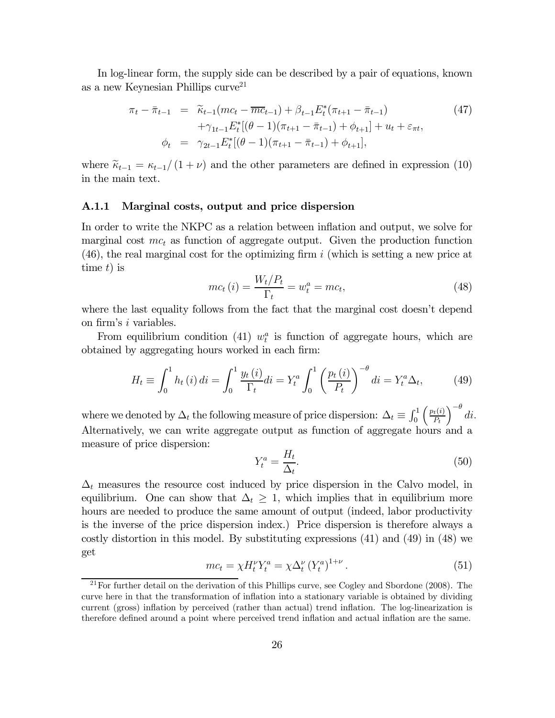In log-linear form, the supply side can be described by a pair of equations, known as a new Keynesian Phillips curve<sup>21</sup>

$$
\pi_t - \bar{\pi}_{t-1} = \widetilde{\kappa}_{t-1}(mc_t - \overline{mc}_{t-1}) + \beta_{t-1} E_t^*(\pi_{t+1} - \bar{\pi}_{t-1})
$$
\n
$$
+ \gamma_{1t-1} E_t^*[(\theta - 1)(\pi_{t+1} - \bar{\pi}_{t-1}) + \phi_{t+1}] + u_t + \varepsilon_{\pi t},
$$
\n
$$
\phi_t = \gamma_{2t-1} E_t^*[(\theta - 1)(\pi_{t+1} - \bar{\pi}_{t-1}) + \phi_{t+1}],
$$
\n(47)

where  $\tilde{\kappa}_{t-1} = \kappa_{t-1}/(1+\nu)$  and the other parameters are defined in expression (10) in the main text.

### A.1.1 Marginal costs, output and price dispersion

In order to write the NKPC as a relation between inflation and output, we solve for marginal cost  $mc_t$  as function of aggregate output. Given the production function  $(46)$ , the real marginal cost for the optimizing firm i (which is setting a new price at time  $t$ ) is

$$
mc_t(i) = \frac{W_t/P_t}{\Gamma_t} = w_t^a = mc_t,
$$
\n(48)

where the last equality follows from the fact that the marginal cost doesn't depend on firm's i variables.

From equilibrium condition (41)  $w_t^a$  is function of aggregate hours, which are obtained by aggregating hours worked in each firm:

$$
H_t \equiv \int_0^1 h_t(i) \, di = \int_0^1 \frac{y_t(i)}{\Gamma_t} di = Y_t^a \int_0^1 \left(\frac{p_t(i)}{P_t}\right)^{-\theta} di = Y_t^a \Delta_t,\tag{49}
$$

where we denoted by  $\Delta_t$  the following measure of price dispersion:  $\Delta_t \equiv \int_0^1$  $\int p_t(i)$  $P_t$  $\int$ <sup>- $\theta$ </sup> di. Alternatively, we can write aggregate output as function of aggregate hours and a measure of price dispersion:

$$
Y_t^a = \frac{H_t}{\Delta_t}.\tag{50}
$$

 $\Delta_t$  measures the resource cost induced by price dispersion in the Calvo model, in equilibrium. One can show that  $\Delta_t \geq 1$ , which implies that in equilibrium more hours are needed to produce the same amount of output (indeed, labor productivity is the inverse of the price dispersion index.) Price dispersion is therefore always a costly distortion in this model. By substituting expressions (41) and (49) in (48) we get

$$
mc_t = \chi H_t^{\nu} Y_t^a = \chi \Delta_t^{\nu} (Y_t^a)^{1+\nu} . \tag{51}
$$

<sup>&</sup>lt;sup>21</sup>For further detail on the derivation of this Phillips curve, see Cogley and Sbordone (2008). The curve here in that the transformation of inflation into a stationary variable is obtained by dividing current (gross) inflation by perceived (rather than actual) trend inflation. The log-linearization is therefore defined around a point where perceived trend inflation and actual inflation are the same.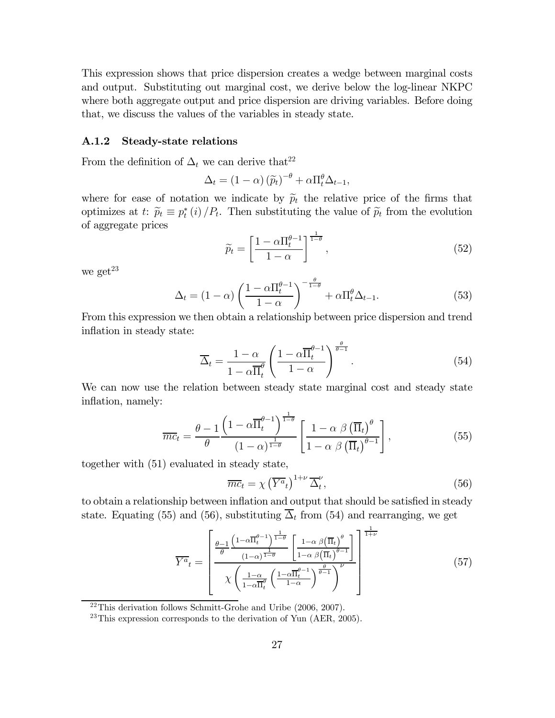This expression shows that price dispersion creates a wedge between marginal costs and output. Substituting out marginal cost, we derive below the log-linear NKPC where both aggregate output and price dispersion are driving variables. Before doing that, we discuss the values of the variables in steady state.

### A.1.2 Steady-state relations

From the definition of  $\Delta_t$  we can derive that<sup>22</sup>

$$
\Delta_t = (1 - \alpha) (\widetilde{p}_t)^{-\theta} + \alpha \Pi_t^{\theta} \Delta_{t-1},
$$

where for ease of notation we indicate by  $\tilde{p}_t$  the relative price of the firms that optimizes at t:  $\widetilde{p}_t \equiv p_t^*(i) / P_t$ . Then substituting the value of  $\widetilde{p}_t$  from the evolution of aggregate prices

$$
\widetilde{p}_t = \left[\frac{1 - \alpha \Pi_t^{\theta - 1}}{1 - \alpha}\right]^{\frac{1}{1 - \theta}},\tag{52}
$$

we get $^{23}$ 

$$
\Delta_t = (1 - \alpha) \left( \frac{1 - \alpha \Pi_t^{\theta - 1}}{1 - \alpha} \right)^{-\frac{\theta}{1 - \theta}} + \alpha \Pi_t^{\theta} \Delta_{t - 1}.
$$
\n(53)

From this expression we then obtain a relationship between price dispersion and trend inflation in steady state:

$$
\overline{\Delta}_t = \frac{1 - \alpha}{1 - \alpha \overline{\Pi}_t^{\theta}} \left( \frac{1 - \alpha \overline{\Pi}_t^{\theta - 1}}{1 - \alpha} \right)^{\frac{\theta}{\theta - 1}}.
$$
\n(54)

We can now use the relation between steady state marginal cost and steady state inflation, namely:

$$
\overline{mc}_t = \frac{\theta - 1}{\theta} \frac{\left(1 - \alpha \overline{\Pi}_t^{\theta - 1}\right)^{\frac{1}{1 - \theta}}}{\left(1 - \alpha\right)^{\frac{1}{1 - \theta}}} \left[\frac{1 - \alpha \beta \left(\overline{\Pi}_t\right)^{\theta}}{1 - \alpha \beta \left(\overline{\Pi}_t\right)^{\theta - 1}}\right],\tag{55}
$$

together with (51) evaluated in steady state,

$$
\overline{mc}_t = \chi \left(\overline{Y^a}_t\right)^{1+\nu} \overline{\Delta}_t^{\nu},\tag{56}
$$

to obtain a relationship between inflation and output that should be satisfied in steady state. Equating (55) and (56), substituting  $\overline{\Delta}_t$  from (54) and rearranging, we get

$$
\overline{Y^{a}}_{t} = \left[ \frac{\frac{\theta - 1}{\theta} \frac{\left(1 - \alpha \overline{\Pi}_{t}^{\theta - 1}\right)^{\frac{1}{1 - \theta}}}{\left(1 - \alpha\right)^{\frac{1}{1 - \theta}}}\left[\frac{1 - \alpha \beta \left(\overline{\Pi}_{t}\right)^{\theta}}{1 - \alpha \beta \left(\overline{\Pi}_{t}\right)^{\theta - 1}}\right]^{\frac{1}{1 + \nu}}}{\chi \left(\frac{1 - \alpha}{1 - \alpha \overline{\Pi}_{t}^{\theta}} \left(\frac{1 - \alpha \overline{\Pi}_{t}^{\theta - 1}}{1 - \alpha}\right)^{\frac{\theta}{\theta - 1}}\right)^{\nu}} \right]
$$
(57)

 $22$ This derivation follows Schmitt-Grohe and Uribe (2006, 2007).

 $23$ This expression corresponds to the derivation of Yun (AER, 2005).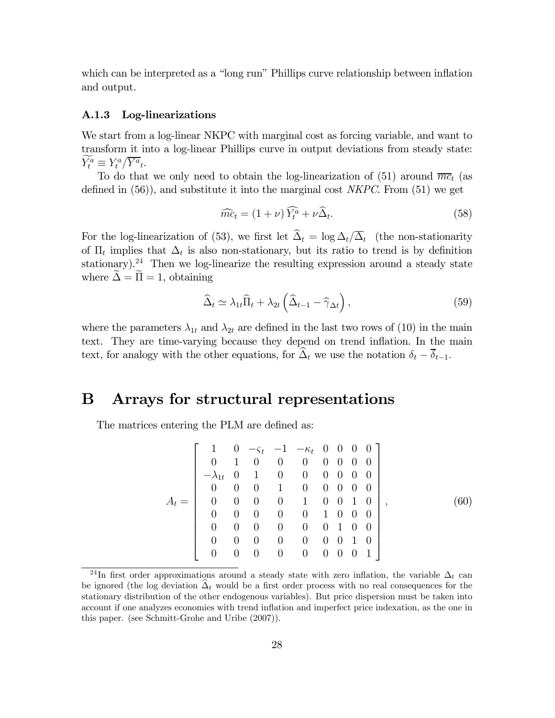which can be interpreted as a "long run" Phillips curve relationship between inflation and output.

#### A.1.3 Log-linearizations

We start from a log-linear NKPC with marginal cost as forcing variable, and want to transform it into a log-linear Phillips curve in output deviations from steady state:  $Y_t^a \equiv Y_t^a / \overline{Y^a}_t.$ 

To do that we only need to obtain the log-linearization of (51) around  $\overline{mc}_t$  (as defined in  $(56)$ , and substitute it into the marginal cost *NKPC*. From  $(51)$  we get

$$
\widehat{mc}_t = (1+\nu)\widehat{Y}_t^a + \nu\widehat{\Delta}_t. \tag{58}
$$

For the log-linearization of (53), we first let  $\hat{\Delta}_t = \log \Delta_t/\overline{\Delta}_t$  (the non-stationarity of  $\Pi_t$  implies that  $\Delta_t$  is also non-stationary, but its ratio to trend is by definition stationary).<sup>24</sup> Then we log-linearize the resulting expression around a steady state where  $\widetilde{\Delta} = \widetilde{\Pi} = 1$ , obtaining

$$
\widehat{\Delta}_t \simeq \lambda_{1t} \widehat{\Pi}_t + \lambda_{2t} \left( \widehat{\Delta}_{t-1} - \widehat{\gamma}_{\Delta t} \right), \tag{59}
$$

where the parameters  $\lambda_{1t}$  and  $\lambda_{2t}$  are defined in the last two rows of (10) in the main text. They are time-varying because they depend on trend inflation. In the main text, for analogy with the other equations, for  $\widehat{\Delta}_t$  we use the notation  $\delta_t - \overline{\delta}_{t-1}$ .

## B Arrays for structural representations

The matrices entering the PLM are defined as:

$$
A_{t} = \left[\begin{array}{cccccccc} 1 & 0 & -\varsigma_{t} & -1 & -\kappa_{t} & 0 & 0 & 0 & 0 \\ 0 & 1 & 0 & 0 & 0 & 0 & 0 & 0 & 0 \\ -\lambda_{1t} & 0 & 1 & 0 & 0 & 0 & 0 & 0 & 0 \\ 0 & 0 & 0 & 1 & 0 & 0 & 0 & 0 & 0 \\ 0 & 0 & 0 & 0 & 1 & 0 & 0 & 1 & 0 \\ 0 & 0 & 0 & 0 & 0 & 1 & 0 & 0 & 0 \\ 0 & 0 & 0 & 0 & 0 & 0 & 1 & 0 & 0 \\ 0 & 0 & 0 & 0 & 0 & 0 & 0 & 1 & 0 \\ 0 & 0 & 0 & 0 & 0 & 0 & 0 & 0 & 1 \end{array}\right],
$$
(60)

<sup>&</sup>lt;sup>24</sup>In first order approximations around a steady state with zero inflation, the variable  $\Delta_t$  can be ignored (the log deviation  $\Delta_t$  would be a first order process with no real consequences for the stationary distribution of the other endogenous variables). But price dispersion must be taken into account if one analyzes economies with trend inflation and imperfect price indexation, as the one in this paper. (see Schmitt-Grohe and Uribe (2007)).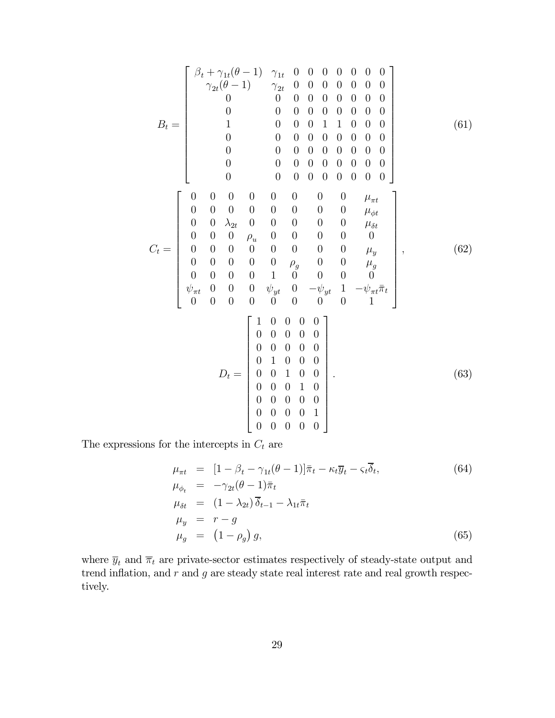$$
B_{t} = \begin{bmatrix} \beta_{t} + \gamma_{1t}(\theta - 1) & \gamma_{1t} & 0 & 0 & 0 & 0 & 0 & 0 & 0 \\ \gamma_{2t}(\theta - 1) & \gamma_{2t} & 0 & 0 & 0 & 0 & 0 & 0 & 0 \\ 0 & 0 & 0 & 0 & 0 & 0 & 0 & 0 & 0 & 0 \\ 0 & 0 & 0 & 0 & 0 & 0 & 0 & 0 & 0 & 0 \\ 0 & 0 & 0 & 0 & 0 & 0 & 0 & 0 & 0 & 0 \\ 0 & 0 & 0 & 0 & 0 & 0 & 0 & 0 & 0 & 0 \\ 0 & 0 & 0 & 0 & 0 & 0 & 0 & 0 & 0 & 0 \\ 0 & 0 & 0 & 0 & 0 & 0 & 0 & 0 & 0 & 0 \\ 0 & 0 & \lambda_{2t} & 0 & 0 & 0 & 0 & 0 & 0 & \mu_{\eta t} \\ 0 & 0 & 0 & 0 & 0 & 0 & 0 & 0 & 0 & \mu_{\eta t} \\ 0 & 0 & 0 & 0 & 0 & 0 & 0 & 0 & 0 & \mu_{\eta t} \\ 0 & 0 & 0 & 0 & 0 & 0 & 0 & 0 & 0 & \mu_{\eta t} \\ 0 & 0 & 0 & 0 & 0 & 0 & 0 & 0 & 0 & \mu_{\eta t} \\ \psi_{\pi t} & 0 & 0 & 0 & 0 & 0 & 0 & 0 & 0 & 0 \\ 0 & 0 & 0 & 0 & 0 & 0 & 0 & 0 & 0 & 1 \end{bmatrix}, \qquad (62)
$$
\n
$$
D_{t} = \begin{bmatrix} 1 & 0 & 0 & 0 & 0 \\ 0 & 0 & 0 & 0 & 0 & 0 \\ 0 & 0 & 0 & 0 & 0 & 0 \\ 0 & 0 & 0 & 0 & 0 & 0 \\ 0 & 0 & 0 & 0 & 0 & 0 \\ 0 & 0 & 0 & 0 & 0 & 0 \\ 0 & 0 & 0 & 0 & 0 & 0 \\ 0 & 0 & 0 & 0 & 0 & 0 \\ 0 & 0 & 0 & 0 & 0 & 0 \\ 0 & 0 & 0 & 0 & 0 & 0 \end{bmatrix} . \qquad (63)
$$

The expressions for the intercepts in  ${\mathcal C}_t$  are

$$
\mu_{\pi t} = [1 - \beta_t - \gamma_{1t}(\theta - 1)]\bar{\pi}_t - \kappa_t \bar{y}_t - \varsigma_t \bar{\delta}_t, \n\mu_{\phi_t} = -\gamma_{2t}(\theta - 1)\bar{\pi}_t \n\mu_{\delta t} = (1 - \lambda_{2t})\bar{\delta}_{t-1} - \lambda_{1t}\bar{\pi}_t \n\mu_y = r - g \n\mu_g = (1 - \rho_g) g,
$$
\n(65)

where  $\overline{y}_t$  and  $\overline{\pi}_t$  are private-sector estimates respectively of steady-state output and trend inflation, and  $r$  and  $g$  are steady state real interest rate and real growth respectively.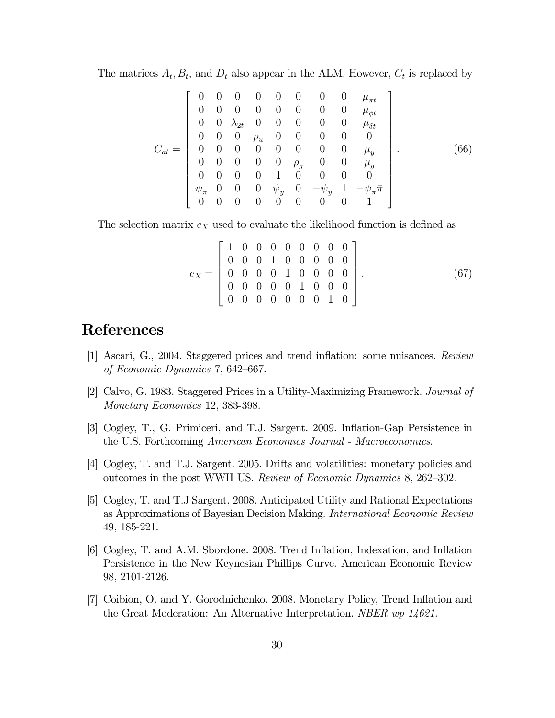The matrices  $A_t$ ,  $B_t$ , and  $D_t$  also appear in the ALM. However,  $C_t$  is replaced by

$$
C_{at} = \left[\begin{array}{ccccccccccccc} 0 & 0 & 0 & 0 & 0 & 0 & 0 & 0 & \mu_{\pi t} \\ 0 & 0 & 0 & 0 & 0 & 0 & 0 & 0 & \mu_{\phi t} \\ 0 & 0 & \lambda_{2t} & 0 & 0 & 0 & 0 & 0 & \mu_{\delta t} \\ 0 & 0 & 0 & \rho_{u} & 0 & 0 & 0 & 0 & 0 \\ 0 & 0 & 0 & 0 & 0 & 0 & 0 & 0 & \mu_{y} \\ 0 & 0 & 0 & 0 & 0 & \rho_{g} & 0 & 0 & \mu_{g} \\ 0 & 0 & 0 & 0 & 1 & 0 & 0 & 0 & 0 \\ \psi_{\pi} & 0 & 0 & 0 & \psi_{y} & 0 & -\psi_{y} & 1 & -\psi_{\pi}\bar{\pi} \\ 0 & 0 & 0 & 0 & 0 & 0 & 0 & 1 \end{array}\right].
$$
 (66)

The selection matrix  $e_X$  used to evaluate the likelihood function is defined as

$$
e_X = \begin{bmatrix} 1 & 0 & 0 & 0 & 0 & 0 & 0 & 0 & 0 \\ 0 & 0 & 0 & 1 & 0 & 0 & 0 & 0 & 0 \\ 0 & 0 & 0 & 0 & 1 & 0 & 0 & 0 & 0 \\ 0 & 0 & 0 & 0 & 0 & 1 & 0 & 0 & 0 \\ 0 & 0 & 0 & 0 & 0 & 0 & 0 & 1 & 0 \end{bmatrix}.
$$
 (67)

# References

- [1] Ascari, G., 2004. Staggered prices and trend inflation: some nuisances. Review of Economic Dynamics 7, 642—667.
- [2] Calvo, G. 1983. Staggered Prices in a Utility-Maximizing Framework. Journal of Monetary Economics 12, 383-398.
- [3] Cogley, T., G. Primiceri, and T.J. Sargent. 2009. Inflation-Gap Persistence in the U.S. Forthcoming American Economics Journal - Macroeconomics.
- [4] Cogley, T. and T.J. Sargent. 2005. Drifts and volatilities: monetary policies and outcomes in the post WWII US. Review of Economic Dynamics 8, 262—302.
- [5] Cogley, T. and T.J Sargent, 2008. Anticipated Utility and Rational Expectations as Approximations of Bayesian Decision Making. International Economic Review 49, 185-221.
- [6] Cogley, T. and A.M. Sbordone. 2008. Trend Inflation, Indexation, and Inflation Persistence in the New Keynesian Phillips Curve. American Economic Review 98, 2101-2126.
- [7] Coibion, O. and Y. Gorodnichenko. 2008. Monetary Policy, Trend Inflation and the Great Moderation: An Alternative Interpretation. NBER wp 14621.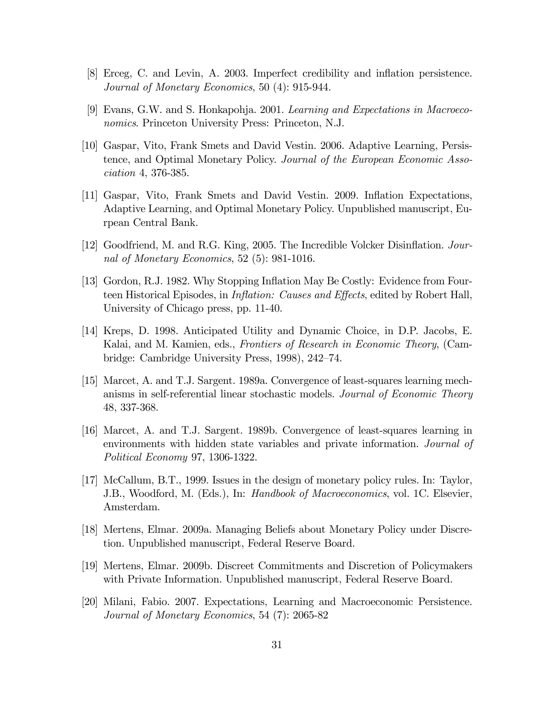- [8] Erceg, C. and Levin, A. 2003. Imperfect credibility and inflation persistence. Journal of Monetary Economics, 50 (4): 915-944.
- [9] Evans, G.W. and S. Honkapohja. 2001. Learning and Expectations in Macroeconomics. Princeton University Press: Princeton, N.J.
- [10] Gaspar, Vito, Frank Smets and David Vestin. 2006. Adaptive Learning, Persistence, and Optimal Monetary Policy. Journal of the European Economic Association 4, 376-385.
- [11] Gaspar, Vito, Frank Smets and David Vestin. 2009. Inflation Expectations, Adaptive Learning, and Optimal Monetary Policy. Unpublished manuscript, Eurpean Central Bank.
- [12] Goodfriend, M. and R.G. King, 2005. The Incredible Volcker Disinflation. Journal of Monetary Economics, 52 (5): 981-1016.
- [13] Gordon, R.J. 1982. Why Stopping Inflation May Be Costly: Evidence from Fourteen Historical Episodes, in Inflation: Causes and Effects, edited by Robert Hall, University of Chicago press, pp. 11-40.
- [14] Kreps, D. 1998. Anticipated Utility and Dynamic Choice, in D.P. Jacobs, E. Kalai, and M. Kamien, eds., Frontiers of Research in Economic Theory, (Cambridge: Cambridge University Press, 1998), 242—74.
- [15] Marcet, A. and T.J. Sargent. 1989a. Convergence of least-squares learning mechanisms in self-referential linear stochastic models. Journal of Economic Theory 48, 337-368.
- [16] Marcet, A. and T.J. Sargent. 1989b. Convergence of least-squares learning in environments with hidden state variables and private information. Journal of Political Economy 97, 1306-1322.
- [17] McCallum, B.T., 1999. Issues in the design of monetary policy rules. In: Taylor, J.B., Woodford, M. (Eds.), In: Handbook of Macroeconomics, vol. 1C. Elsevier, Amsterdam.
- [18] Mertens, Elmar. 2009a. Managing Beliefs about Monetary Policy under Discretion. Unpublished manuscript, Federal Reserve Board.
- [19] Mertens, Elmar. 2009b. Discreet Commitments and Discretion of Policymakers with Private Information. Unpublished manuscript, Federal Reserve Board.
- [20] Milani, Fabio. 2007. Expectations, Learning and Macroeconomic Persistence. Journal of Monetary Economics, 54 (7): 2065-82